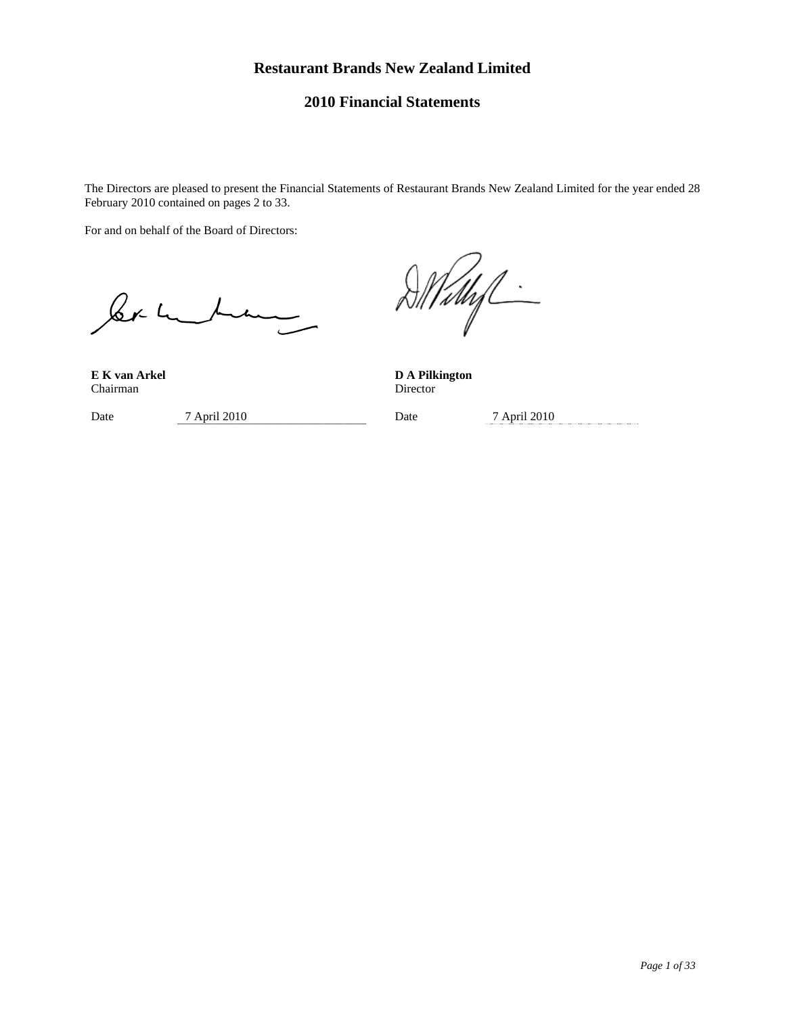# **Restaurant Brands New Zealand Limited**

# **2010 Financial Statements**

The Directors are pleased to present the Financial Statements of Restaurant Brands New Zealand Limited for the year ended 28 February 2010 contained on pages 2 to 33.

For and on behalf of the Board of Directors:

ler 4

Pühif -

**E K van Arkel**  Chairman

**D A Pilkington** 

Date 7 April 2010 Date 7 April 2010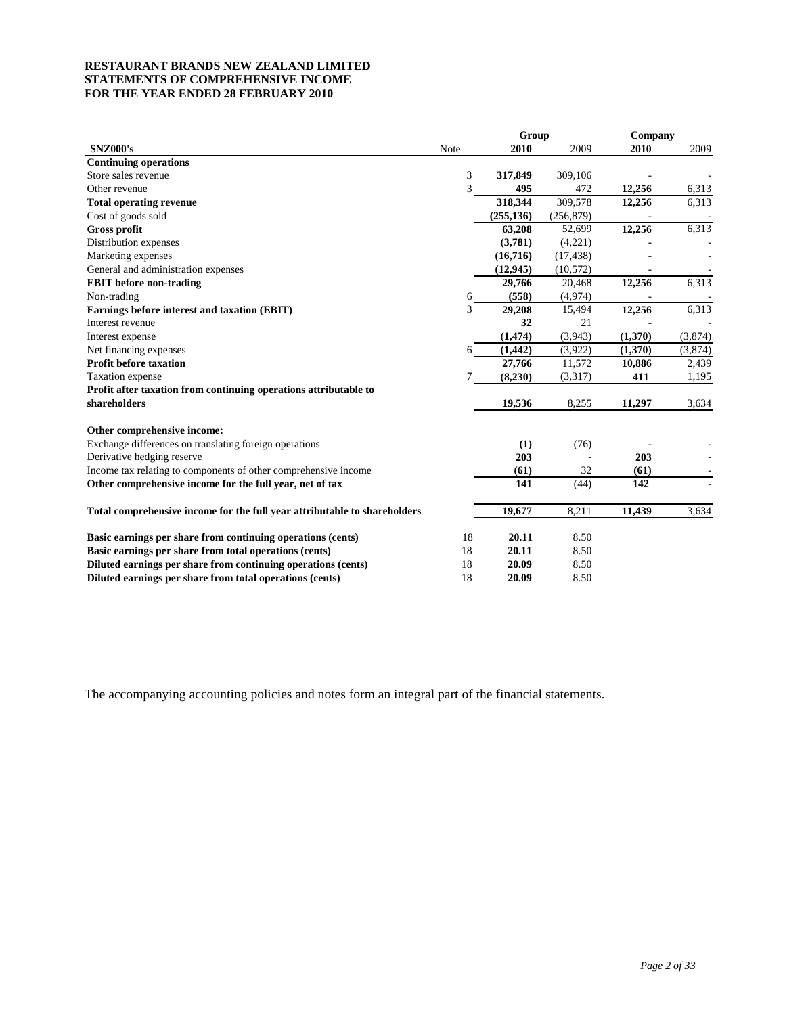### **RESTAURANT BRANDS NEW ZEALAND LIMITED STATEMENTS OF COMPREHENSIVE INCOME FOR THE YEAR ENDED 28 FEBRUARY 2010**

|                                                                           |      | Group      |            | Company |         |  |
|---------------------------------------------------------------------------|------|------------|------------|---------|---------|--|
| <b>\$NZ000's</b>                                                          | Note | 2010       | 2009       | 2010    | 2009    |  |
| <b>Continuing operations</b>                                              |      |            |            |         |         |  |
| Store sales revenue                                                       | 3    | 317,849    | 309,106    |         |         |  |
| Other revenue                                                             | 3    | 495        | 472        | 12,256  | 6,313   |  |
| <b>Total operating revenue</b>                                            |      | 318,344    | 309,578    | 12,256  | 6,313   |  |
| Cost of goods sold                                                        |      | (255, 136) | (256, 879) |         |         |  |
| Gross profit                                                              |      | 63,208     | 52,699     | 12,256  | 6,313   |  |
| Distribution expenses                                                     |      | (3,781)    | (4,221)    |         |         |  |
| Marketing expenses                                                        |      | (16,716)   | (17, 438)  |         |         |  |
| General and administration expenses                                       |      | (12, 945)  | (10,572)   |         |         |  |
| <b>EBIT</b> before non-trading                                            |      | 29,766     | 20,468     | 12,256  | 6,313   |  |
| Non-trading                                                               | 6    | (558)      | (4,974)    |         |         |  |
| Earnings before interest and taxation (EBIT)                              | 3    | 29,208     | 15,494     | 12,256  | 6,313   |  |
| Interest revenue                                                          |      | 32         | 21         |         |         |  |
| Interest expense                                                          |      | (1, 474)   | (3,943)    | (1,370) | (3,874) |  |
| Net financing expenses                                                    | 6    | (1, 442)   | (3,922)    | (1,370) | (3,874) |  |
| <b>Profit before taxation</b>                                             |      | 27,766     | 11,572     | 10,886  | 2,439   |  |
| Taxation expense                                                          | 7    | (8,230)    | (3,317)    | 411     | 1,195   |  |
| Profit after taxation from continuing operations attributable to          |      |            |            |         |         |  |
| shareholders                                                              |      | 19,536     | 8,255      | 11,297  | 3,634   |  |
| Other comprehensive income:                                               |      |            |            |         |         |  |
| Exchange differences on translating foreign operations                    |      | (1)        | (76)       |         |         |  |
| Derivative hedging reserve                                                |      | 203        |            | 203     |         |  |
| Income tax relating to components of other comprehensive income           |      | (61)       | 32         | (61)    |         |  |
| Other comprehensive income for the full year, net of tax                  |      | 141        | (44)       | 142     |         |  |
| Total comprehensive income for the full year attributable to shareholders |      | 19,677     | 8,211      | 11,439  | 3,634   |  |
| Basic earnings per share from continuing operations (cents)               | 18   | 20.11      | 8.50       |         |         |  |
| Basic earnings per share from total operations (cents)                    | 18   | 20.11      | 8.50       |         |         |  |
| Diluted earnings per share from continuing operations (cents)             | 18   | 20.09      | 8.50       |         |         |  |
| Diluted earnings per share from total operations (cents)                  | 18   | 20.09      | 8.50       |         |         |  |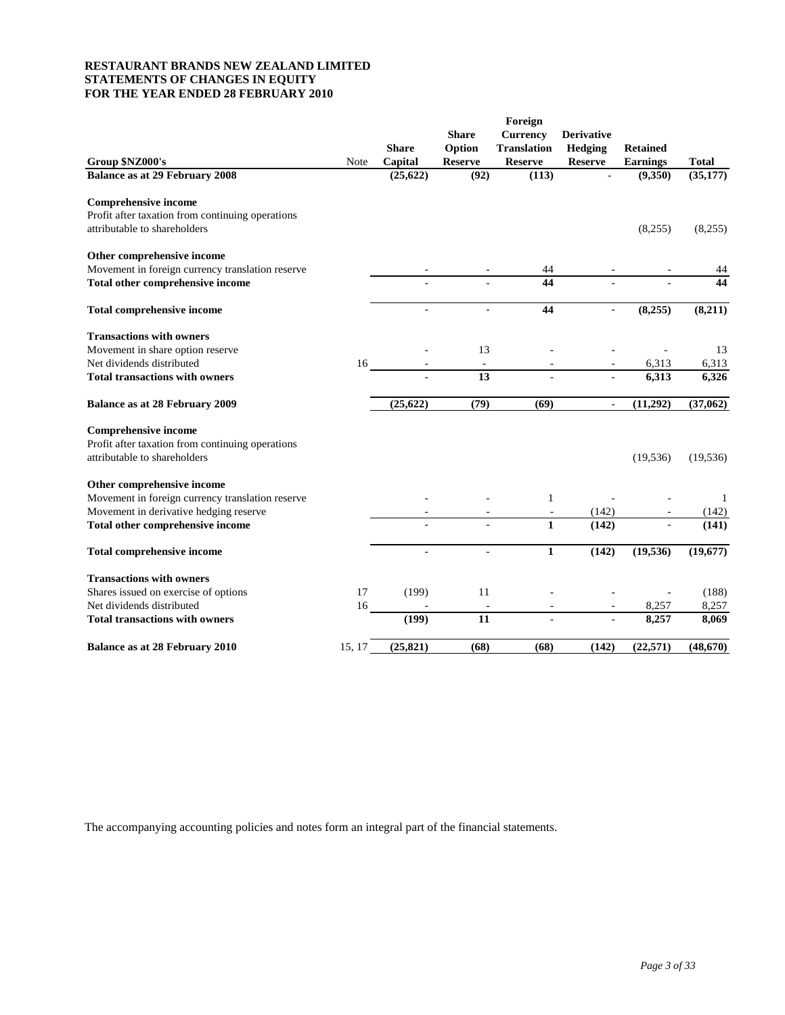### **RESTAURANT BRANDS NEW ZEALAND LIMITED STATEMENTS OF CHANGES IN EQUITY FOR THE YEAR ENDED 28 FEBRUARY 2010**

|                                                                                  |        |              | <b>Share</b>   | Foreign<br><b>Currency</b> | <b>Derivative</b>        |                 |              |
|----------------------------------------------------------------------------------|--------|--------------|----------------|----------------------------|--------------------------|-----------------|--------------|
|                                                                                  |        | <b>Share</b> | Option         | <b>Translation</b>         | Hedging                  | <b>Retained</b> |              |
| Group \$NZ000's                                                                  | Note   | Capital      | <b>Reserve</b> | <b>Reserve</b>             | <b>Reserve</b>           | <b>Earnings</b> | <b>Total</b> |
| <b>Balance as at 29 February 2008</b>                                            |        | (25, 622)    | (92)           | (113)                      |                          | (9,350)         | (35, 177)    |
| <b>Comprehensive income</b>                                                      |        |              |                |                            |                          |                 |              |
| Profit after taxation from continuing operations<br>attributable to shareholders |        |              |                |                            |                          | (8,255)         | (8,255)      |
|                                                                                  |        |              |                |                            |                          |                 |              |
| Other comprehensive income                                                       |        |              |                |                            |                          |                 |              |
| Movement in foreign currency translation reserve                                 |        |              |                | 44<br>44                   |                          |                 | 44<br>44     |
| Total other comprehensive income                                                 |        |              |                |                            |                          |                 |              |
| <b>Total comprehensive income</b>                                                |        | $\sim$       | ÷.             | 44                         | $\mathbf{r}$             | (8,255)         | (8,211)      |
| <b>Transactions with owners</b>                                                  |        |              |                |                            |                          |                 |              |
| Movement in share option reserve                                                 |        |              | 13             |                            |                          |                 | 13           |
| Net dividends distributed                                                        | 16     |              | $\bar{a}$      |                            | ÷.                       | 6,313           | 6,313        |
| <b>Total transactions with owners</b>                                            |        |              | 13             |                            |                          | 6,313           | 6,326        |
| <b>Balance as at 28 February 2009</b>                                            |        | (25, 622)    | (79)           | (69)                       | $\overline{\phantom{a}}$ | (11,292)        | (37,062)     |
| <b>Comprehensive income</b>                                                      |        |              |                |                            |                          |                 |              |
| Profit after taxation from continuing operations                                 |        |              |                |                            |                          |                 |              |
| attributable to shareholders                                                     |        |              |                |                            |                          | (19, 536)       | (19, 536)    |
| Other comprehensive income                                                       |        |              |                |                            |                          |                 |              |
| Movement in foreign currency translation reserve                                 |        |              |                | 1                          |                          |                 | 1            |
| Movement in derivative hedging reserve                                           |        |              |                | $\overline{\phantom{a}}$   | (142)                    |                 | (142)        |
| Total other comprehensive income                                                 |        |              |                | $\mathbf{1}$               | (142)                    |                 | (141)        |
| <b>Total comprehensive income</b>                                                |        |              | ÷,             | 1                          | (142)                    | (19, 536)       | (19, 677)    |
| <b>Transactions with owners</b>                                                  |        |              |                |                            |                          |                 |              |
| Shares issued on exercise of options                                             | 17     | (199)        | 11             |                            |                          |                 | (188)        |
| Net dividends distributed                                                        | 16     |              |                |                            |                          | 8,257           | 8,257        |
| <b>Total transactions with owners</b>                                            |        | (199)        | 11             |                            |                          | 8,257           | 8,069        |
| Balance as at 28 February 2010                                                   | 15, 17 | (25, 821)    | (68)           | (68)                       | (142)                    | (22, 571)       | (48,670)     |
|                                                                                  |        |              |                |                            |                          |                 |              |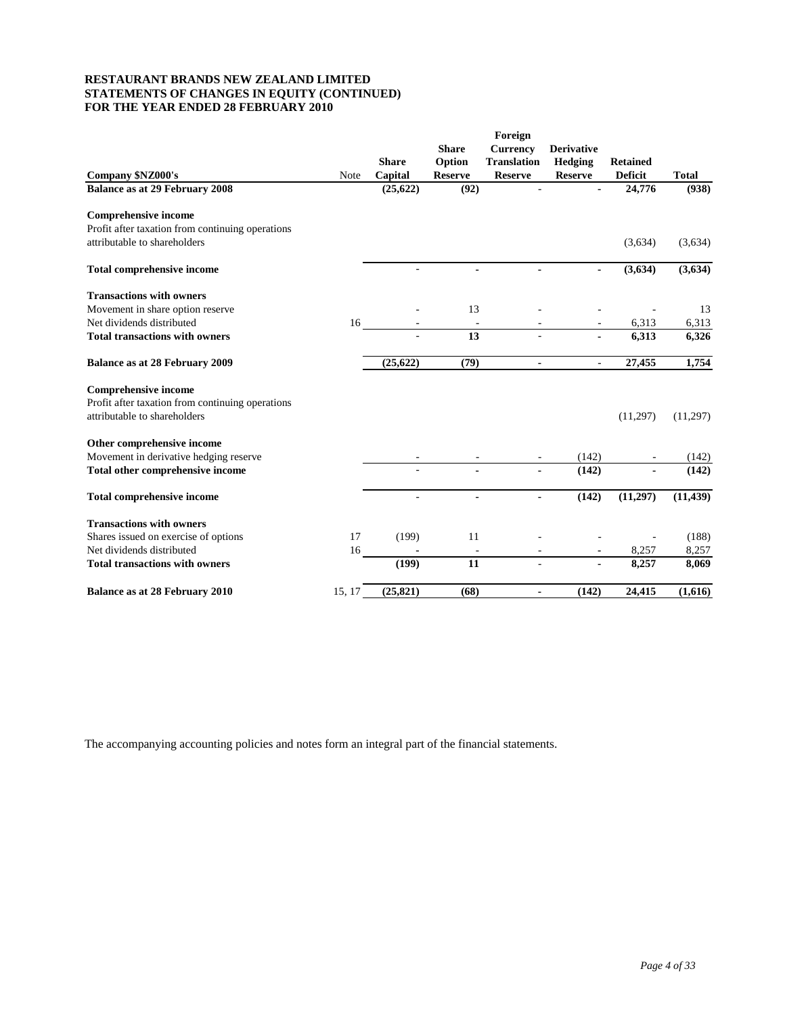# **RESTAURANT BRANDS NEW ZEALAND LIMITED STATEMENTS OF CHANGES IN EQUITY (CONTINUED) FOR THE YEAR ENDED 28 FEBRUARY 2010**

|                                                                                                                 |        |              | <b>Share</b>             | Foreign<br><b>Currency</b> | <b>Derivative</b> |                 |              |
|-----------------------------------------------------------------------------------------------------------------|--------|--------------|--------------------------|----------------------------|-------------------|-----------------|--------------|
|                                                                                                                 |        | <b>Share</b> | Option                   | <b>Translation</b>         | Hedging           | <b>Retained</b> |              |
| Company \$NZ000's                                                                                               | Note   | Capital      | <b>Reserve</b>           | <b>Reserve</b>             | <b>Reserve</b>    | <b>Deficit</b>  | <b>Total</b> |
| <b>Balance as at 29 February 2008</b>                                                                           |        | (25, 622)    | (92)                     |                            |                   | 24,776          | (938)        |
| <b>Comprehensive income</b>                                                                                     |        |              |                          |                            |                   |                 |              |
| Profit after taxation from continuing operations                                                                |        |              |                          |                            |                   |                 |              |
| attributable to shareholders                                                                                    |        |              |                          |                            |                   | (3,634)         | (3,634)      |
| <b>Total comprehensive income</b>                                                                               |        |              |                          |                            |                   | (3,634)         | (3,634)      |
| <b>Transactions with owners</b>                                                                                 |        |              |                          |                            |                   |                 |              |
| Movement in share option reserve                                                                                |        |              | 13                       |                            |                   |                 | 13           |
| Net dividends distributed                                                                                       | 16     |              | $\overline{\phantom{a}}$ |                            |                   | 6,313           | 6,313        |
| <b>Total transactions with owners</b>                                                                           |        |              | $\overline{13}$          | ÷,                         | $\overline{a}$    | 6,313           | 6,326        |
| <b>Balance as at 28 February 2009</b>                                                                           |        | (25, 622)    | (79)                     |                            |                   | 27,455          | 1,754        |
| <b>Comprehensive income</b><br>Profit after taxation from continuing operations<br>attributable to shareholders |        |              |                          |                            |                   |                 |              |
|                                                                                                                 |        |              |                          |                            |                   | (11, 297)       | (11,297)     |
| Other comprehensive income                                                                                      |        |              |                          |                            |                   |                 |              |
| Movement in derivative hedging reserve                                                                          |        |              |                          |                            | (142)             |                 | (142)        |
| Total other comprehensive income                                                                                |        |              |                          |                            | (142)             |                 | (142)        |
| <b>Total comprehensive income</b>                                                                               |        |              |                          |                            | (142)             | (11,297)        | (11, 439)    |
| <b>Transactions with owners</b>                                                                                 |        |              |                          |                            |                   |                 |              |
| Shares issued on exercise of options                                                                            | 17     | (199)        | 11                       |                            |                   |                 | (188)        |
| Net dividends distributed                                                                                       | 16     |              | $\overline{\phantom{a}}$ |                            |                   | 8,257           | 8,257        |
| <b>Total transactions with owners</b>                                                                           |        | (199)        | 11                       | ÷                          |                   | 8,257           | 8,069        |
| Balance as at 28 February 2010                                                                                  | 15, 17 | (25, 821)    | (68)                     | $\blacksquare$             | (142)             | 24,415          | (1,616)      |
|                                                                                                                 |        |              |                          |                            |                   |                 |              |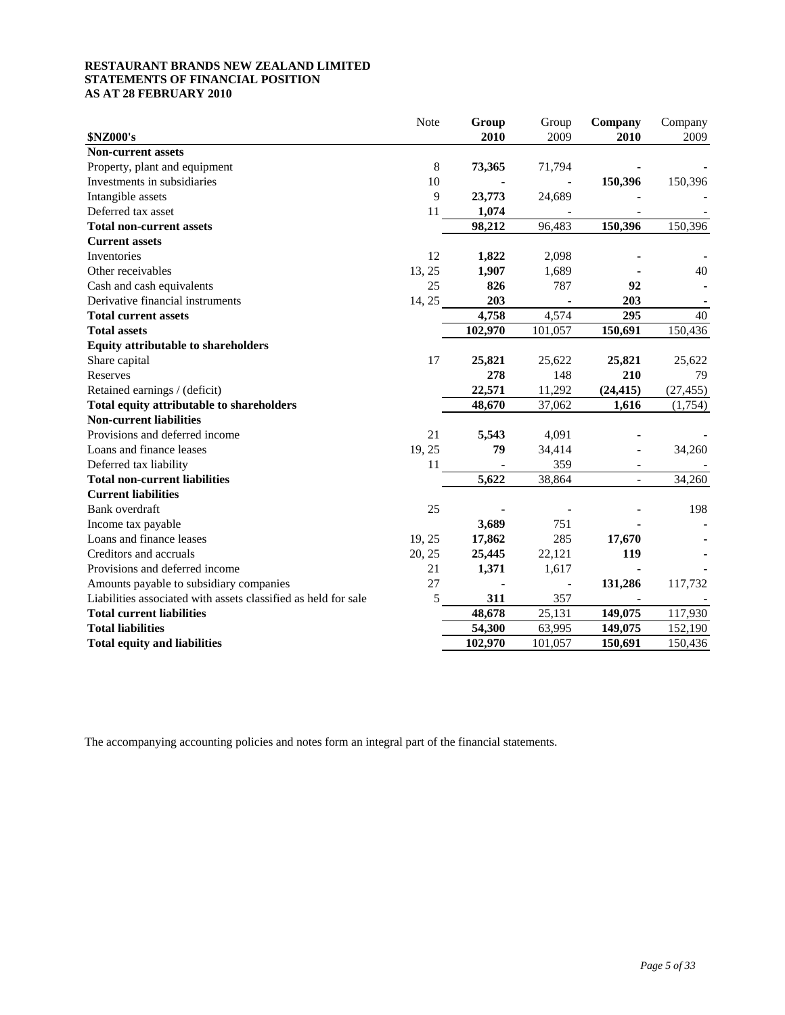### **RESTAURANT BRANDS NEW ZEALAND LIMITED STATEMENTS OF FINANCIAL POSITION AS AT 28 FEBRUARY 2010**

|                                                                | Note    | Group   | Group   | Company          | Company   |
|----------------------------------------------------------------|---------|---------|---------|------------------|-----------|
| <b>\$NZ000's</b>                                               |         | 2010    | 2009    | 2010             | 2009      |
| <b>Non-current assets</b>                                      |         |         |         |                  |           |
| Property, plant and equipment                                  | $\,8\,$ | 73,365  | 71,794  |                  |           |
| Investments in subsidiaries                                    | 10      |         |         | 150,396          | 150,396   |
| Intangible assets                                              | 9       | 23,773  | 24,689  |                  |           |
| Deferred tax asset                                             | 11      | 1,074   |         |                  |           |
| <b>Total non-current assets</b>                                |         | 98,212  | 96,483  | 150,396          | 150,396   |
| <b>Current assets</b>                                          |         |         |         |                  |           |
| Inventories                                                    | 12      | 1,822   | 2,098   |                  |           |
| Other receivables                                              | 13, 25  | 1,907   | 1,689   |                  | 40        |
| Cash and cash equivalents                                      | 25      | 826     | 787     | 92               |           |
| Derivative financial instruments                               | 14, 25  | 203     |         | 203              |           |
| <b>Total current assets</b>                                    |         | 4,758   | 4,574   | $\overline{295}$ | 40        |
| <b>Total assets</b>                                            |         | 102,970 | 101,057 | 150,691          | 150,436   |
| <b>Equity attributable to shareholders</b>                     |         |         |         |                  |           |
| Share capital                                                  | 17      | 25,821  | 25,622  | 25,821           | 25,622    |
| Reserves                                                       |         | 278     | 148     | 210              | 79        |
| Retained earnings / (deficit)                                  |         | 22,571  | 11,292  | (24, 415)        | (27, 455) |
| Total equity attributable to shareholders                      |         | 48,670  | 37,062  | 1,616            | (1,754)   |
| <b>Non-current liabilities</b>                                 |         |         |         |                  |           |
| Provisions and deferred income                                 | 21      | 5,543   | 4,091   |                  |           |
| Loans and finance leases                                       | 19, 25  | 79      | 34,414  |                  | 34,260    |
| Deferred tax liability                                         | 11      |         | 359     |                  |           |
| <b>Total non-current liabilities</b>                           |         | 5,622   | 38,864  | $\blacksquare$   | 34,260    |
| <b>Current liabilities</b>                                     |         |         |         |                  |           |
| <b>Bank</b> overdraft                                          | 25      |         |         |                  | 198       |
| Income tax payable                                             |         | 3,689   | 751     |                  |           |
| Loans and finance leases                                       | 19, 25  | 17,862  | 285     | 17,670           |           |
| Creditors and accruals                                         | 20, 25  | 25,445  | 22,121  | 119              |           |
| Provisions and deferred income                                 | 21      | 1,371   | 1,617   |                  |           |
| Amounts payable to subsidiary companies                        | 27      |         |         | 131,286          | 117,732   |
| Liabilities associated with assets classified as held for sale | 5       | 311     | 357     |                  |           |
| <b>Total current liabilities</b>                               |         | 48,678  | 25,131  | 149,075          | 117,930   |
| <b>Total liabilities</b>                                       |         | 54,300  | 63,995  | 149,075          | 152,190   |
| <b>Total equity and liabilities</b>                            |         | 102,970 | 101,057 | 150,691          | 150,436   |

The accompanying accounting policies and notes form an integral part of the financial statements.

*Page 5 of 33*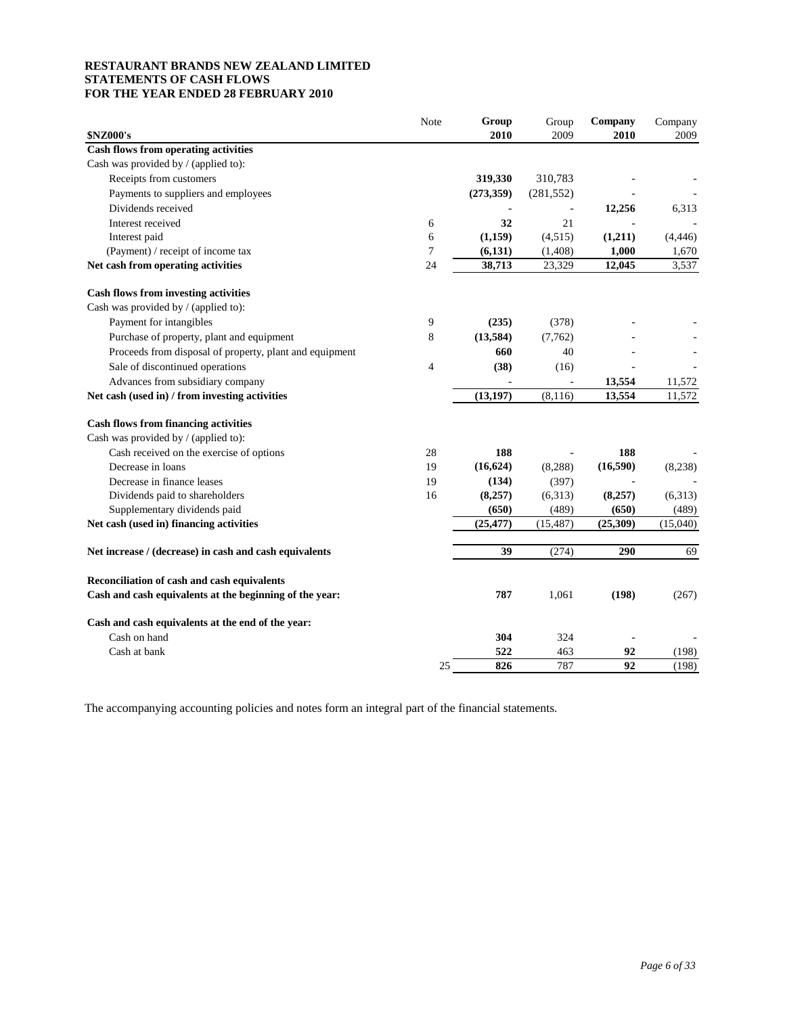### **RESTAURANT BRANDS NEW ZEALAND LIMITED STATEMENTS OF CASH FLOWS FOR THE YEAR ENDED 28 FEBRUARY 2010**

| \$NZ000's                                                                                              | Note           | Group<br>2010 | Group<br>2009 | Company<br>2010 | Company<br>2009 |
|--------------------------------------------------------------------------------------------------------|----------------|---------------|---------------|-----------------|-----------------|
| <b>Cash flows from operating activities</b>                                                            |                |               |               |                 |                 |
| Cash was provided by / (applied to):                                                                   |                |               |               |                 |                 |
| Receipts from customers                                                                                |                | 319,330       | 310,783       |                 |                 |
| Payments to suppliers and employees                                                                    |                | (273, 359)    | (281, 552)    |                 |                 |
| Dividends received                                                                                     |                |               |               | 12,256          | 6,313           |
| Interest received                                                                                      | 6              | 32            | 21            |                 |                 |
| Interest paid                                                                                          | 6              | (1,159)       | (4,515)       | (1,211)         | (4, 446)        |
| (Payment) / receipt of income tax                                                                      | $\overline{7}$ | (6, 131)      | (1, 408)      | 1,000           | 1,670           |
| Net cash from operating activities                                                                     | 24             | 38,713        | 23,329        | 12,045          | 3,537           |
| <b>Cash flows from investing activities</b>                                                            |                |               |               |                 |                 |
| Cash was provided by / (applied to):                                                                   |                |               |               |                 |                 |
| Payment for intangibles                                                                                | 9              | (235)         | (378)         |                 |                 |
| Purchase of property, plant and equipment                                                              | 8              | (13,584)      | (7, 762)      |                 |                 |
| Proceeds from disposal of property, plant and equipment                                                |                | 660           | 40            |                 |                 |
| Sale of discontinued operations                                                                        | 4              | (38)          | (16)          |                 |                 |
| Advances from subsidiary company                                                                       |                |               |               | 13,554          | 11,572          |
| Net cash (used in) / from investing activities                                                         |                | (13, 197)     | (8, 116)      | 13,554          | 11,572          |
| <b>Cash flows from financing activities</b>                                                            |                |               |               |                 |                 |
| Cash was provided by / (applied to):                                                                   |                |               |               |                 |                 |
| Cash received on the exercise of options                                                               | 28             | 188           |               | 188             |                 |
| Decrease in loans                                                                                      | 19             | (16, 624)     | (8, 288)      | (16, 590)       | (8,238)         |
| Decrease in finance leases                                                                             | 19             | (134)         | (397)         |                 |                 |
| Dividends paid to shareholders                                                                         | 16             | (8,257)       | (6,313)       | (8,257)         | (6,313)         |
| Supplementary dividends paid                                                                           |                | (650)         | (489)         | (650)           | (489)           |
| Net cash (used in) financing activities                                                                |                | (25, 477)     | (15, 487)     | (25,309)        | (15,040)        |
| Net increase / (decrease) in cash and cash equivalents                                                 |                | 39            | (274)         | 290             | 69              |
|                                                                                                        |                |               |               |                 |                 |
| Reconciliation of cash and cash equivalents<br>Cash and cash equivalents at the beginning of the year: |                | 787           | 1,061         | (198)           | (267)           |
| Cash and cash equivalents at the end of the year:                                                      |                |               |               |                 |                 |
| Cash on hand                                                                                           |                | 304           | 324           |                 |                 |
| Cash at bank                                                                                           |                | 522           | 463           | 92              | (198)           |
|                                                                                                        | 25             | 826           | 787           | 92              | (198)           |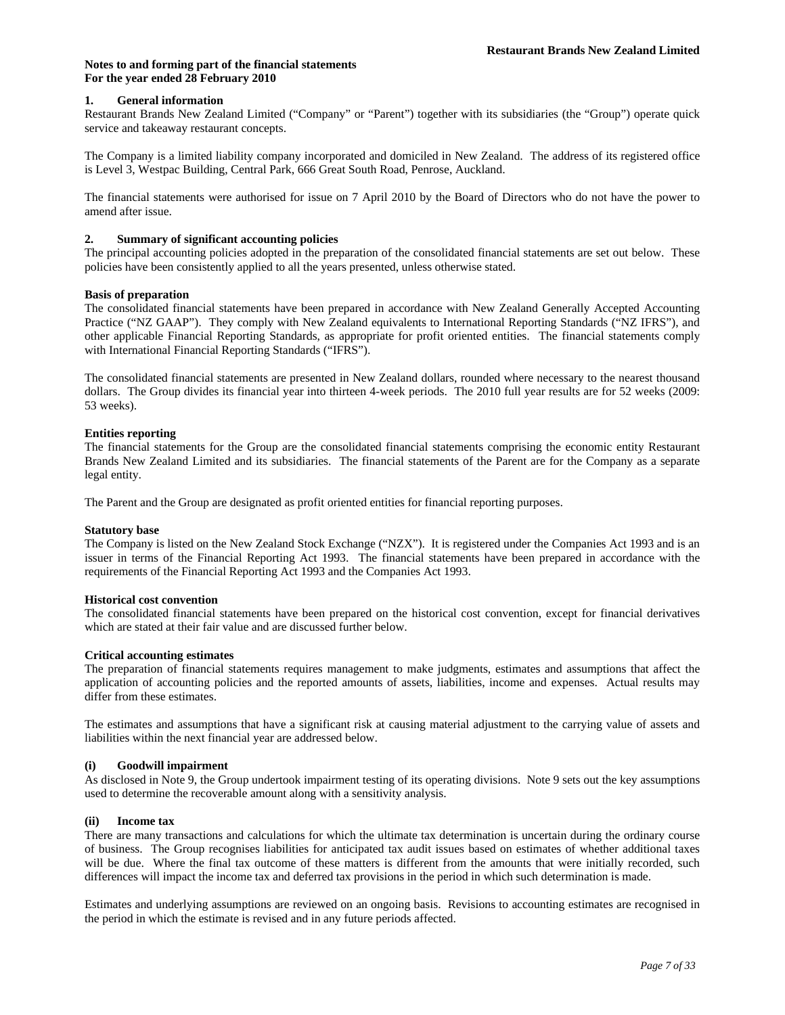### **1. General information**

Restaurant Brands New Zealand Limited ("Company" or "Parent") together with its subsidiaries (the "Group") operate quick service and takeaway restaurant concepts.

The Company is a limited liability company incorporated and domiciled in New Zealand. The address of its registered office is Level 3, Westpac Building, Central Park, 666 Great South Road, Penrose, Auckland.

The financial statements were authorised for issue on 7 April 2010 by the Board of Directors who do not have the power to amend after issue.

### **2. Summary of significant accounting policies**

The principal accounting policies adopted in the preparation of the consolidated financial statements are set out below. These policies have been consistently applied to all the years presented, unless otherwise stated.

### **Basis of preparation**

The consolidated financial statements have been prepared in accordance with New Zealand Generally Accepted Accounting Practice ("NZ GAAP"). They comply with New Zealand equivalents to International Reporting Standards ("NZ IFRS"), and other applicable Financial Reporting Standards, as appropriate for profit oriented entities. The financial statements comply with International Financial Reporting Standards ("IFRS").

The consolidated financial statements are presented in New Zealand dollars, rounded where necessary to the nearest thousand dollars. The Group divides its financial year into thirteen 4-week periods. The 2010 full year results are for 52 weeks (2009: 53 weeks).

# **Entities reporting**

The financial statements for the Group are the consolidated financial statements comprising the economic entity Restaurant Brands New Zealand Limited and its subsidiaries. The financial statements of the Parent are for the Company as a separate legal entity.

The Parent and the Group are designated as profit oriented entities for financial reporting purposes.

### **Statutory base**

The Company is listed on the New Zealand Stock Exchange ("NZX"). It is registered under the Companies Act 1993 and is an issuer in terms of the Financial Reporting Act 1993. The financial statements have been prepared in accordance with the requirements of the Financial Reporting Act 1993 and the Companies Act 1993.

### **Historical cost convention**

The consolidated financial statements have been prepared on the historical cost convention, except for financial derivatives which are stated at their fair value and are discussed further below.

### **Critical accounting estimates**

The preparation of financial statements requires management to make judgments, estimates and assumptions that affect the application of accounting policies and the reported amounts of assets, liabilities, income and expenses. Actual results may differ from these estimates.

The estimates and assumptions that have a significant risk at causing material adjustment to the carrying value of assets and liabilities within the next financial year are addressed below.

### **(i) Goodwill impairment**

As disclosed in Note 9, the Group undertook impairment testing of its operating divisions. Note 9 sets out the key assumptions used to determine the recoverable amount along with a sensitivity analysis.

### **(ii) Income tax**

There are many transactions and calculations for which the ultimate tax determination is uncertain during the ordinary course of business. The Group recognises liabilities for anticipated tax audit issues based on estimates of whether additional taxes will be due. Where the final tax outcome of these matters is different from the amounts that were initially recorded, such differences will impact the income tax and deferred tax provisions in the period in which such determination is made.

Estimates and underlying assumptions are reviewed on an ongoing basis. Revisions to accounting estimates are recognised in the period in which the estimate is revised and in any future periods affected.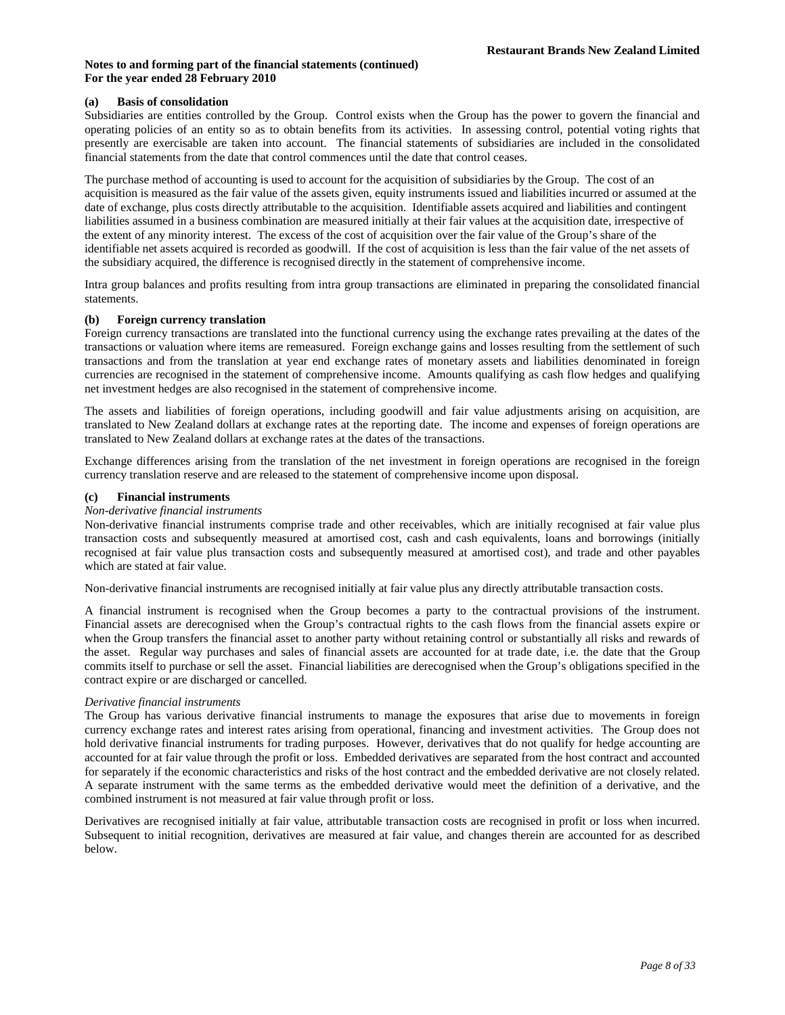### **(a) Basis of consolidation**

Subsidiaries are entities controlled by the Group. Control exists when the Group has the power to govern the financial and operating policies of an entity so as to obtain benefits from its activities. In assessing control, potential voting rights that presently are exercisable are taken into account. The financial statements of subsidiaries are included in the consolidated financial statements from the date that control commences until the date that control ceases.

The purchase method of accounting is used to account for the acquisition of subsidiaries by the Group. The cost of an acquisition is measured as the fair value of the assets given, equity instruments issued and liabilities incurred or assumed at the date of exchange, plus costs directly attributable to the acquisition. Identifiable assets acquired and liabilities and contingent liabilities assumed in a business combination are measured initially at their fair values at the acquisition date, irrespective of the extent of any minority interest. The excess of the cost of acquisition over the fair value of the Group's share of the identifiable net assets acquired is recorded as goodwill. If the cost of acquisition is less than the fair value of the net assets of the subsidiary acquired, the difference is recognised directly in the statement of comprehensive income.

Intra group balances and profits resulting from intra group transactions are eliminated in preparing the consolidated financial statements.

### **(b) Foreign currency translation**

Foreign currency transactions are translated into the functional currency using the exchange rates prevailing at the dates of the transactions or valuation where items are remeasured. Foreign exchange gains and losses resulting from the settlement of such transactions and from the translation at year end exchange rates of monetary assets and liabilities denominated in foreign currencies are recognised in the statement of comprehensive income. Amounts qualifying as cash flow hedges and qualifying net investment hedges are also recognised in the statement of comprehensive income.

The assets and liabilities of foreign operations, including goodwill and fair value adjustments arising on acquisition, are translated to New Zealand dollars at exchange rates at the reporting date. The income and expenses of foreign operations are translated to New Zealand dollars at exchange rates at the dates of the transactions.

Exchange differences arising from the translation of the net investment in foreign operations are recognised in the foreign currency translation reserve and are released to the statement of comprehensive income upon disposal.

### **(c) Financial instruments**

### *Non-derivative financial instruments*

Non-derivative financial instruments comprise trade and other receivables, which are initially recognised at fair value plus transaction costs and subsequently measured at amortised cost, cash and cash equivalents, loans and borrowings (initially recognised at fair value plus transaction costs and subsequently measured at amortised cost), and trade and other payables which are stated at fair value.

Non-derivative financial instruments are recognised initially at fair value plus any directly attributable transaction costs.

A financial instrument is recognised when the Group becomes a party to the contractual provisions of the instrument. Financial assets are derecognised when the Group's contractual rights to the cash flows from the financial assets expire or when the Group transfers the financial asset to another party without retaining control or substantially all risks and rewards of the asset. Regular way purchases and sales of financial assets are accounted for at trade date, i.e. the date that the Group commits itself to purchase or sell the asset. Financial liabilities are derecognised when the Group's obligations specified in the contract expire or are discharged or cancelled.

#### *Derivative financial instruments*

The Group has various derivative financial instruments to manage the exposures that arise due to movements in foreign currency exchange rates and interest rates arising from operational, financing and investment activities. The Group does not hold derivative financial instruments for trading purposes. However, derivatives that do not qualify for hedge accounting are accounted for at fair value through the profit or loss. Embedded derivatives are separated from the host contract and accounted for separately if the economic characteristics and risks of the host contract and the embedded derivative are not closely related. A separate instrument with the same terms as the embedded derivative would meet the definition of a derivative, and the combined instrument is not measured at fair value through profit or loss.

Derivatives are recognised initially at fair value, attributable transaction costs are recognised in profit or loss when incurred. Subsequent to initial recognition, derivatives are measured at fair value, and changes therein are accounted for as described below.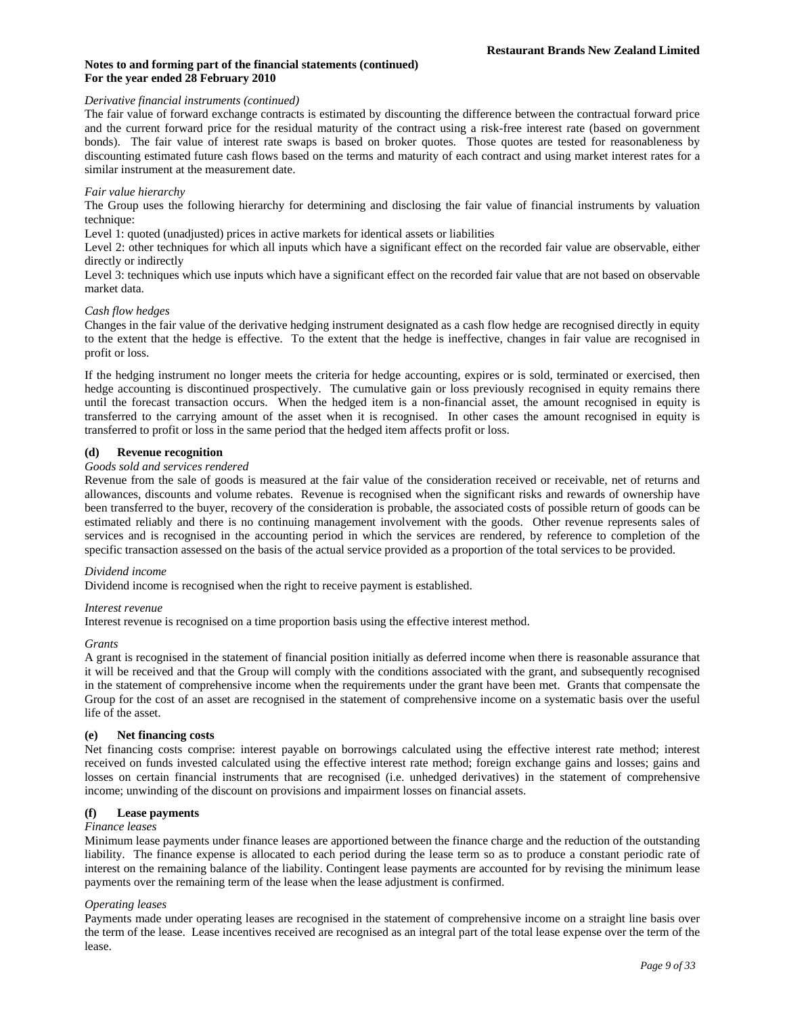### *Derivative financial instruments (continued)*

The fair value of forward exchange contracts is estimated by discounting the difference between the contractual forward price and the current forward price for the residual maturity of the contract using a risk-free interest rate (based on government bonds). The fair value of interest rate swaps is based on broker quotes. Those quotes are tested for reasonableness by discounting estimated future cash flows based on the terms and maturity of each contract and using market interest rates for a similar instrument at the measurement date.

### *Fair value hierarchy*

The Group uses the following hierarchy for determining and disclosing the fair value of financial instruments by valuation technique:

Level 1: quoted (unadjusted) prices in active markets for identical assets or liabilities

Level 2: other techniques for which all inputs which have a significant effect on the recorded fair value are observable, either directly or indirectly

Level 3: techniques which use inputs which have a significant effect on the recorded fair value that are not based on observable market data.

### *Cash flow hedges*

Changes in the fair value of the derivative hedging instrument designated as a cash flow hedge are recognised directly in equity to the extent that the hedge is effective. To the extent that the hedge is ineffective, changes in fair value are recognised in profit or loss.

If the hedging instrument no longer meets the criteria for hedge accounting, expires or is sold, terminated or exercised, then hedge accounting is discontinued prospectively. The cumulative gain or loss previously recognised in equity remains there until the forecast transaction occurs. When the hedged item is a non-financial asset, the amount recognised in equity is transferred to the carrying amount of the asset when it is recognised. In other cases the amount recognised in equity is transferred to profit or loss in the same period that the hedged item affects profit or loss.

### **(d) Revenue recognition**

### *Goods sold and services rendered*

Revenue from the sale of goods is measured at the fair value of the consideration received or receivable, net of returns and allowances, discounts and volume rebates. Revenue is recognised when the significant risks and rewards of ownership have been transferred to the buyer, recovery of the consideration is probable, the associated costs of possible return of goods can be estimated reliably and there is no continuing management involvement with the goods. Other revenue represents sales of services and is recognised in the accounting period in which the services are rendered, by reference to completion of the specific transaction assessed on the basis of the actual service provided as a proportion of the total services to be provided.

### *Dividend income*

Dividend income is recognised when the right to receive payment is established.

#### *Interest revenue*

Interest revenue is recognised on a time proportion basis using the effective interest method.

#### *Grants*

A grant is recognised in the statement of financial position initially as deferred income when there is reasonable assurance that it will be received and that the Group will comply with the conditions associated with the grant, and subsequently recognised in the statement of comprehensive income when the requirements under the grant have been met. Grants that compensate the Group for the cost of an asset are recognised in the statement of comprehensive income on a systematic basis over the useful life of the asset.

#### **(e) Net financing costs**

Net financing costs comprise: interest payable on borrowings calculated using the effective interest rate method; interest received on funds invested calculated using the effective interest rate method; foreign exchange gains and losses; gains and losses on certain financial instruments that are recognised (i.e. unhedged derivatives) in the statement of comprehensive income; unwinding of the discount on provisions and impairment losses on financial assets.

#### **(f) Lease payments**

### *Finance leases*

Minimum lease payments under finance leases are apportioned between the finance charge and the reduction of the outstanding liability. The finance expense is allocated to each period during the lease term so as to produce a constant periodic rate of interest on the remaining balance of the liability. Contingent lease payments are accounted for by revising the minimum lease payments over the remaining term of the lease when the lease adjustment is confirmed.

#### *Operating leases*

Payments made under operating leases are recognised in the statement of comprehensive income on a straight line basis over the term of the lease. Lease incentives received are recognised as an integral part of the total lease expense over the term of the lease.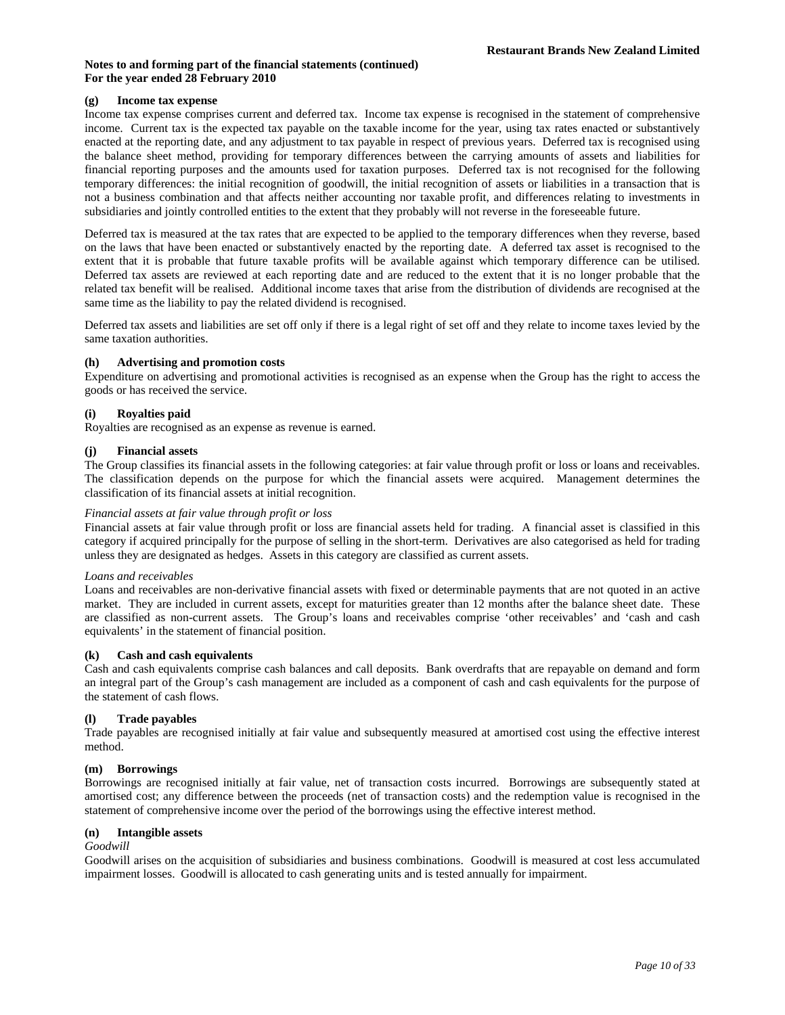### **(g) Income tax expense**

Income tax expense comprises current and deferred tax. Income tax expense is recognised in the statement of comprehensive income. Current tax is the expected tax payable on the taxable income for the year, using tax rates enacted or substantively enacted at the reporting date, and any adjustment to tax payable in respect of previous years. Deferred tax is recognised using the balance sheet method, providing for temporary differences between the carrying amounts of assets and liabilities for financial reporting purposes and the amounts used for taxation purposes. Deferred tax is not recognised for the following temporary differences: the initial recognition of goodwill, the initial recognition of assets or liabilities in a transaction that is not a business combination and that affects neither accounting nor taxable profit, and differences relating to investments in subsidiaries and jointly controlled entities to the extent that they probably will not reverse in the foreseeable future.

Deferred tax is measured at the tax rates that are expected to be applied to the temporary differences when they reverse, based on the laws that have been enacted or substantively enacted by the reporting date. A deferred tax asset is recognised to the extent that it is probable that future taxable profits will be available against which temporary difference can be utilised. Deferred tax assets are reviewed at each reporting date and are reduced to the extent that it is no longer probable that the related tax benefit will be realised. Additional income taxes that arise from the distribution of dividends are recognised at the same time as the liability to pay the related dividend is recognised.

Deferred tax assets and liabilities are set off only if there is a legal right of set off and they relate to income taxes levied by the same taxation authorities.

### **(h) Advertising and promotion costs**

Expenditure on advertising and promotional activities is recognised as an expense when the Group has the right to access the goods or has received the service.

### **(i) Royalties paid**

Royalties are recognised as an expense as revenue is earned.

### **(j) Financial assets**

The Group classifies its financial assets in the following categories: at fair value through profit or loss or loans and receivables. The classification depends on the purpose for which the financial assets were acquired. Management determines the classification of its financial assets at initial recognition.

### *Financial assets at fair value through profit or loss*

Financial assets at fair value through profit or loss are financial assets held for trading. A financial asset is classified in this category if acquired principally for the purpose of selling in the short-term. Derivatives are also categorised as held for trading unless they are designated as hedges. Assets in this category are classified as current assets.

#### *Loans and receivables*

Loans and receivables are non-derivative financial assets with fixed or determinable payments that are not quoted in an active market. They are included in current assets, except for maturities greater than 12 months after the balance sheet date. These are classified as non-current assets. The Group's loans and receivables comprise 'other receivables' and 'cash and cash equivalents' in the statement of financial position.

### **(k) Cash and cash equivalents**

Cash and cash equivalents comprise cash balances and call deposits. Bank overdrafts that are repayable on demand and form an integral part of the Group's cash management are included as a component of cash and cash equivalents for the purpose of the statement of cash flows.

#### **(l) Trade payables**

Trade payables are recognised initially at fair value and subsequently measured at amortised cost using the effective interest method.

### **(m) Borrowings**

Borrowings are recognised initially at fair value, net of transaction costs incurred. Borrowings are subsequently stated at amortised cost; any difference between the proceeds (net of transaction costs) and the redemption value is recognised in the statement of comprehensive income over the period of the borrowings using the effective interest method.

### **(n) Intangible assets**

### *Goodwill*

Goodwill arises on the acquisition of subsidiaries and business combinations. Goodwill is measured at cost less accumulated impairment losses. Goodwill is allocated to cash generating units and is tested annually for impairment.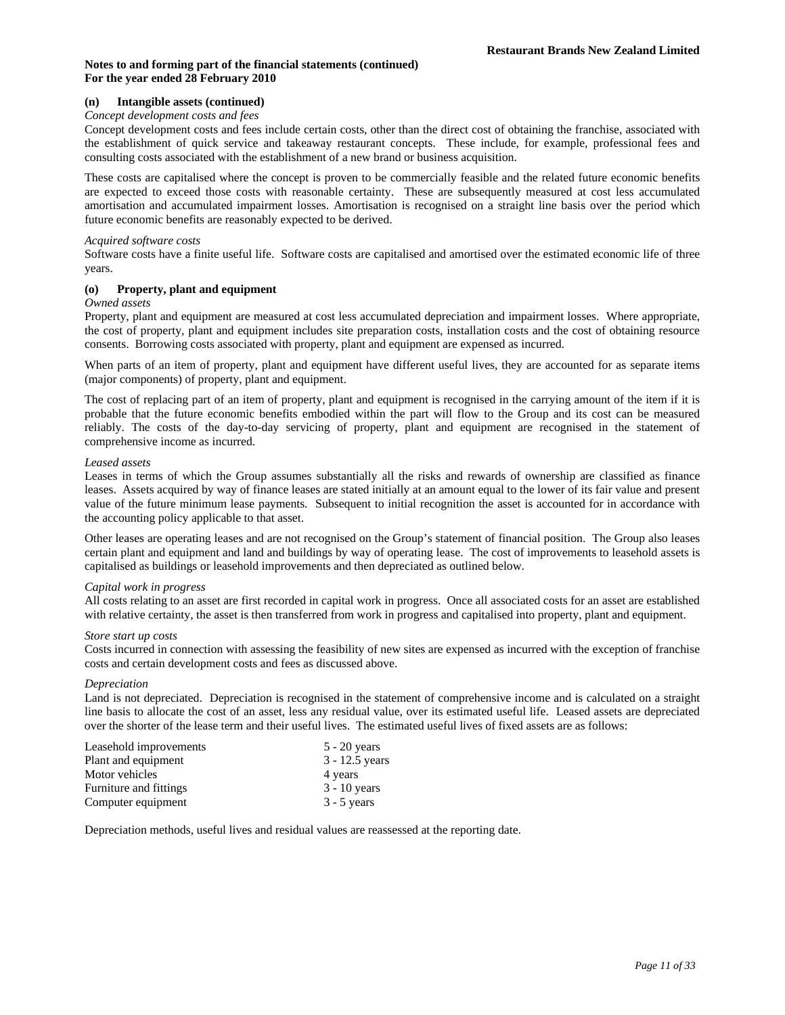# **(n) Intangible assets (continued)**

# *Concept development costs and fees*

Concept development costs and fees include certain costs, other than the direct cost of obtaining the franchise, associated with the establishment of quick service and takeaway restaurant concepts. These include, for example, professional fees and consulting costs associated with the establishment of a new brand or business acquisition.

These costs are capitalised where the concept is proven to be commercially feasible and the related future economic benefits are expected to exceed those costs with reasonable certainty. These are subsequently measured at cost less accumulated amortisation and accumulated impairment losses. Amortisation is recognised on a straight line basis over the period which future economic benefits are reasonably expected to be derived.

### *Acquired software costs*

Software costs have a finite useful life. Software costs are capitalised and amortised over the estimated economic life of three years.

### **(o) Property, plant and equipment**

#### *Owned assets*

Property, plant and equipment are measured at cost less accumulated depreciation and impairment losses. Where appropriate, the cost of property, plant and equipment includes site preparation costs, installation costs and the cost of obtaining resource consents. Borrowing costs associated with property, plant and equipment are expensed as incurred.

When parts of an item of property, plant and equipment have different useful lives, they are accounted for as separate items (major components) of property, plant and equipment.

The cost of replacing part of an item of property, plant and equipment is recognised in the carrying amount of the item if it is probable that the future economic benefits embodied within the part will flow to the Group and its cost can be measured reliably. The costs of the day-to-day servicing of property, plant and equipment are recognised in the statement of comprehensive income as incurred.

### *Leased assets*

Leases in terms of which the Group assumes substantially all the risks and rewards of ownership are classified as finance leases. Assets acquired by way of finance leases are stated initially at an amount equal to the lower of its fair value and present value of the future minimum lease payments. Subsequent to initial recognition the asset is accounted for in accordance with the accounting policy applicable to that asset.

Other leases are operating leases and are not recognised on the Group's statement of financial position. The Group also leases certain plant and equipment and land and buildings by way of operating lease. The cost of improvements to leasehold assets is capitalised as buildings or leasehold improvements and then depreciated as outlined below.

### *Capital work in progress*

All costs relating to an asset are first recorded in capital work in progress. Once all associated costs for an asset are established with relative certainty, the asset is then transferred from work in progress and capitalised into property, plant and equipment.

#### *Store start up costs*

Costs incurred in connection with assessing the feasibility of new sites are expensed as incurred with the exception of franchise costs and certain development costs and fees as discussed above.

### *Depreciation*

Land is not depreciated. Depreciation is recognised in the statement of comprehensive income and is calculated on a straight line basis to allocate the cost of an asset, less any residual value, over its estimated useful life. Leased assets are depreciated over the shorter of the lease term and their useful lives. The estimated useful lives of fixed assets are as follows:

| Leasehold improvements | $5 - 20$ years   |
|------------------------|------------------|
| Plant and equipment    | $3 - 12.5$ years |
| Motor vehicles         | 4 years          |
| Furniture and fittings | $3 - 10$ years   |
| Computer equipment     | $3 - 5$ years    |

Depreciation methods, useful lives and residual values are reassessed at the reporting date.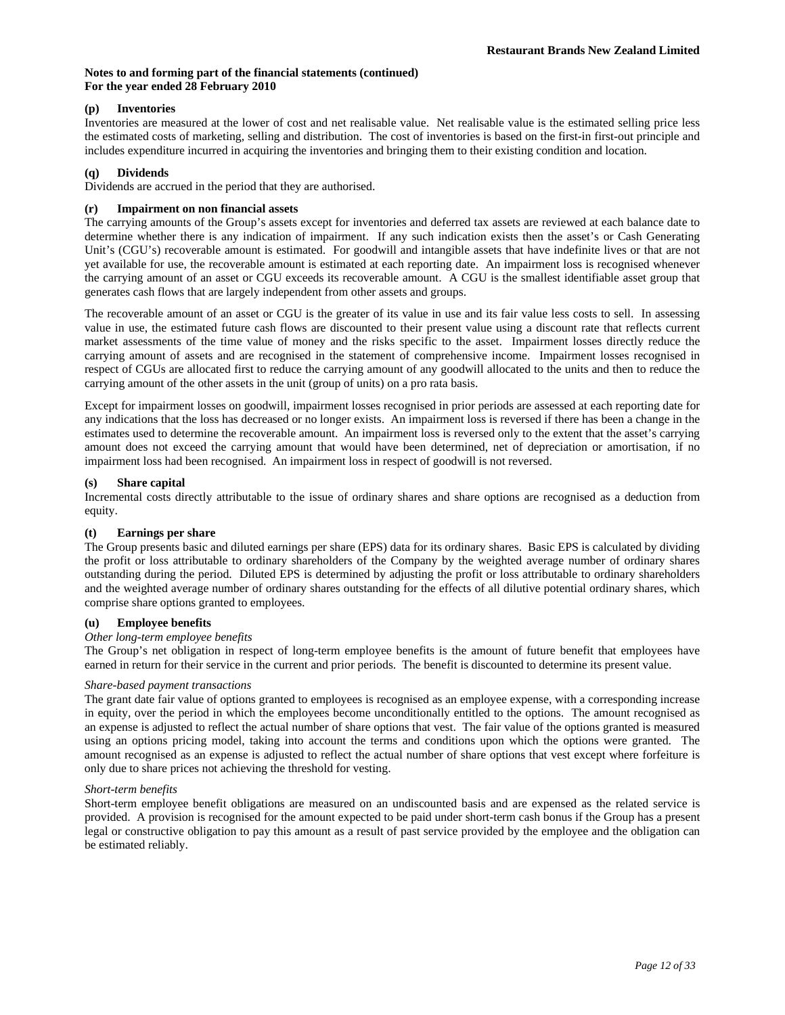### **(p) Inventories**

Inventories are measured at the lower of cost and net realisable value. Net realisable value is the estimated selling price less the estimated costs of marketing, selling and distribution. The cost of inventories is based on the first-in first-out principle and includes expenditure incurred in acquiring the inventories and bringing them to their existing condition and location.

### **(q) Dividends**

Dividends are accrued in the period that they are authorised.

### **(r) Impairment on non financial assets**

The carrying amounts of the Group's assets except for inventories and deferred tax assets are reviewed at each balance date to determine whether there is any indication of impairment. If any such indication exists then the asset's or Cash Generating Unit's (CGU's) recoverable amount is estimated. For goodwill and intangible assets that have indefinite lives or that are not yet available for use, the recoverable amount is estimated at each reporting date. An impairment loss is recognised whenever the carrying amount of an asset or CGU exceeds its recoverable amount. A CGU is the smallest identifiable asset group that generates cash flows that are largely independent from other assets and groups.

The recoverable amount of an asset or CGU is the greater of its value in use and its fair value less costs to sell. In assessing value in use, the estimated future cash flows are discounted to their present value using a discount rate that reflects current market assessments of the time value of money and the risks specific to the asset. Impairment losses directly reduce the carrying amount of assets and are recognised in the statement of comprehensive income. Impairment losses recognised in respect of CGUs are allocated first to reduce the carrying amount of any goodwill allocated to the units and then to reduce the carrying amount of the other assets in the unit (group of units) on a pro rata basis.

Except for impairment losses on goodwill, impairment losses recognised in prior periods are assessed at each reporting date for any indications that the loss has decreased or no longer exists. An impairment loss is reversed if there has been a change in the estimates used to determine the recoverable amount. An impairment loss is reversed only to the extent that the asset's carrying amount does not exceed the carrying amount that would have been determined, net of depreciation or amortisation, if no impairment loss had been recognised. An impairment loss in respect of goodwill is not reversed.

### **(s) Share capital**

Incremental costs directly attributable to the issue of ordinary shares and share options are recognised as a deduction from equity.

### **(t) Earnings per share**

The Group presents basic and diluted earnings per share (EPS) data for its ordinary shares. Basic EPS is calculated by dividing the profit or loss attributable to ordinary shareholders of the Company by the weighted average number of ordinary shares outstanding during the period. Diluted EPS is determined by adjusting the profit or loss attributable to ordinary shareholders and the weighted average number of ordinary shares outstanding for the effects of all dilutive potential ordinary shares, which comprise share options granted to employees.

### **(u) Employee benefits**

#### *Other long-term employee benefits*

The Group's net obligation in respect of long-term employee benefits is the amount of future benefit that employees have earned in return for their service in the current and prior periods. The benefit is discounted to determine its present value.

#### *Share-based payment transactions*

The grant date fair value of options granted to employees is recognised as an employee expense, with a corresponding increase in equity, over the period in which the employees become unconditionally entitled to the options. The amount recognised as an expense is adjusted to reflect the actual number of share options that vest. The fair value of the options granted is measured using an options pricing model, taking into account the terms and conditions upon which the options were granted. The amount recognised as an expense is adjusted to reflect the actual number of share options that vest except where forfeiture is only due to share prices not achieving the threshold for vesting.

### *Short-term benefits*

Short-term employee benefit obligations are measured on an undiscounted basis and are expensed as the related service is provided. A provision is recognised for the amount expected to be paid under short-term cash bonus if the Group has a present legal or constructive obligation to pay this amount as a result of past service provided by the employee and the obligation can be estimated reliably.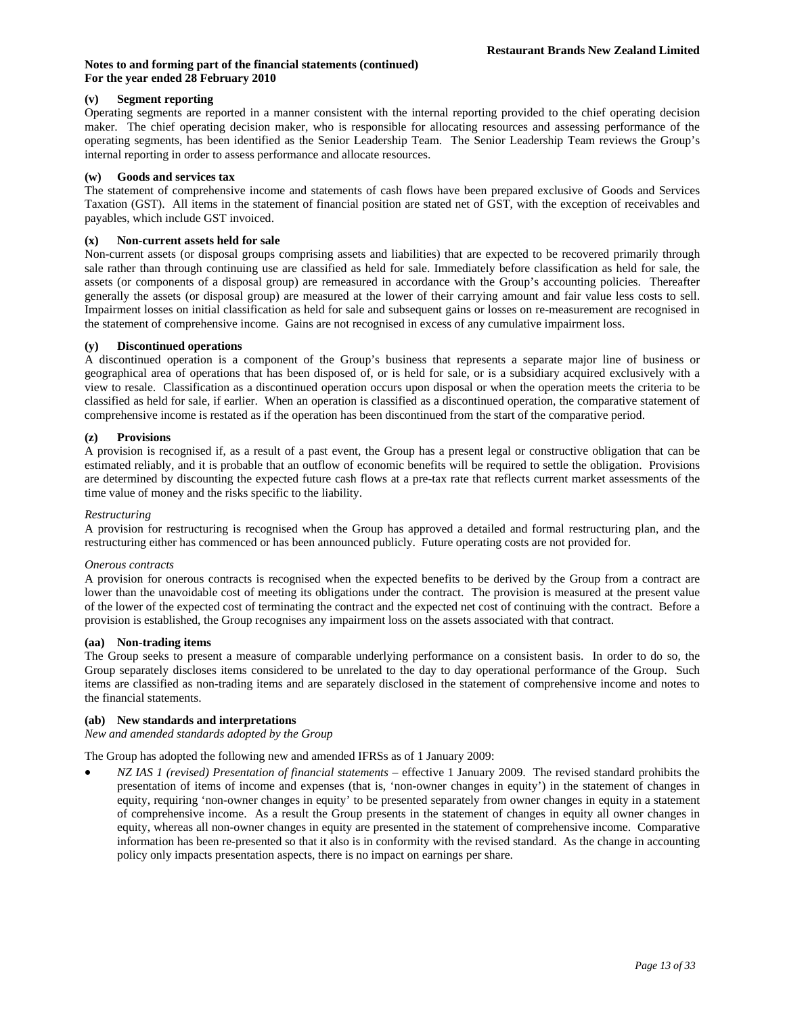### **(v) Segment reporting**

Operating segments are reported in a manner consistent with the internal reporting provided to the chief operating decision maker. The chief operating decision maker, who is responsible for allocating resources and assessing performance of the operating segments, has been identified as the Senior Leadership Team. The Senior Leadership Team reviews the Group's internal reporting in order to assess performance and allocate resources.

### **(w) Goods and services tax**

The statement of comprehensive income and statements of cash flows have been prepared exclusive of Goods and Services Taxation (GST). All items in the statement of financial position are stated net of GST, with the exception of receivables and payables, which include GST invoiced.

### **(x) Non-current assets held for sale**

Non-current assets (or disposal groups comprising assets and liabilities) that are expected to be recovered primarily through sale rather than through continuing use are classified as held for sale. Immediately before classification as held for sale, the assets (or components of a disposal group) are remeasured in accordance with the Group's accounting policies. Thereafter generally the assets (or disposal group) are measured at the lower of their carrying amount and fair value less costs to sell. Impairment losses on initial classification as held for sale and subsequent gains or losses on re-measurement are recognised in the statement of comprehensive income. Gains are not recognised in excess of any cumulative impairment loss.

### **(y) Discontinued operations**

A discontinued operation is a component of the Group's business that represents a separate major line of business or geographical area of operations that has been disposed of, or is held for sale, or is a subsidiary acquired exclusively with a view to resale. Classification as a discontinued operation occurs upon disposal or when the operation meets the criteria to be classified as held for sale, if earlier. When an operation is classified as a discontinued operation, the comparative statement of comprehensive income is restated as if the operation has been discontinued from the start of the comparative period.

### **(z) Provisions**

A provision is recognised if, as a result of a past event, the Group has a present legal or constructive obligation that can be estimated reliably, and it is probable that an outflow of economic benefits will be required to settle the obligation. Provisions are determined by discounting the expected future cash flows at a pre-tax rate that reflects current market assessments of the time value of money and the risks specific to the liability.

#### *Restructuring*

A provision for restructuring is recognised when the Group has approved a detailed and formal restructuring plan, and the restructuring either has commenced or has been announced publicly. Future operating costs are not provided for.

#### *Onerous contracts*

A provision for onerous contracts is recognised when the expected benefits to be derived by the Group from a contract are lower than the unavoidable cost of meeting its obligations under the contract. The provision is measured at the present value of the lower of the expected cost of terminating the contract and the expected net cost of continuing with the contract. Before a provision is established, the Group recognises any impairment loss on the assets associated with that contract.

#### **(aa) Non-trading items**

The Group seeks to present a measure of comparable underlying performance on a consistent basis. In order to do so, the Group separately discloses items considered to be unrelated to the day to day operational performance of the Group. Such items are classified as non-trading items and are separately disclosed in the statement of comprehensive income and notes to the financial statements.

#### **(ab) New standards and interpretations**

*New and amended standards adopted by the Group* 

The Group has adopted the following new and amended IFRSs as of 1 January 2009:

• *NZ IAS 1 (revised) Presentation of financial statements –* effective 1 January 2009. The revised standard prohibits the presentation of items of income and expenses (that is, 'non-owner changes in equity') in the statement of changes in equity, requiring 'non-owner changes in equity' to be presented separately from owner changes in equity in a statement of comprehensive income. As a result the Group presents in the statement of changes in equity all owner changes in equity, whereas all non-owner changes in equity are presented in the statement of comprehensive income. Comparative information has been re-presented so that it also is in conformity with the revised standard. As the change in accounting policy only impacts presentation aspects, there is no impact on earnings per share.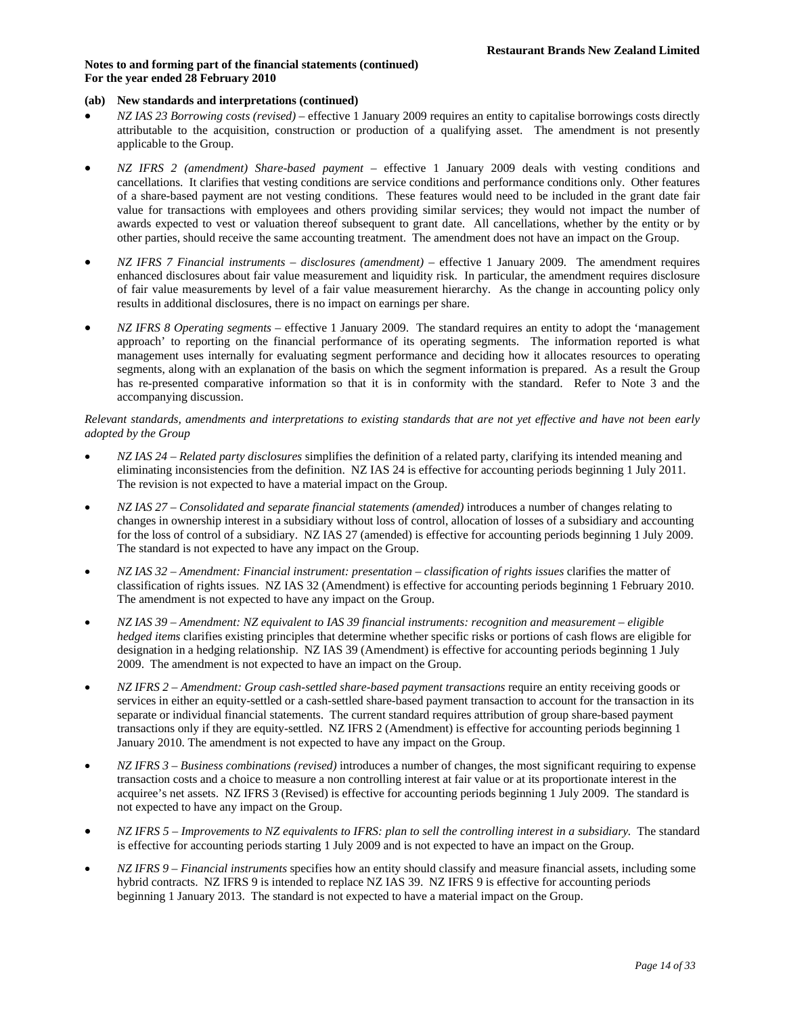### **(ab) New standards and interpretations (continued)**

- *NZ IAS 23 Borrowing costs (revised)*  effective 1 January 2009 requires an entity to capitalise borrowings costs directly attributable to the acquisition, construction or production of a qualifying asset. The amendment is not presently applicable to the Group.
- *NZ IFRS 2 (amendment) Share-based payment* effective 1 January 2009 deals with vesting conditions and cancellations. It clarifies that vesting conditions are service conditions and performance conditions only. Other features of a share-based payment are not vesting conditions. These features would need to be included in the grant date fair value for transactions with employees and others providing similar services; they would not impact the number of awards expected to vest or valuation thereof subsequent to grant date. All cancellations, whether by the entity or by other parties, should receive the same accounting treatment. The amendment does not have an impact on the Group.
- *NZ IFRS 7 Financial instruments disclosures (amendment)* effective 1 January 2009*.* The amendment requires enhanced disclosures about fair value measurement and liquidity risk. In particular, the amendment requires disclosure of fair value measurements by level of a fair value measurement hierarchy. As the change in accounting policy only results in additional disclosures, there is no impact on earnings per share.
- *NZ IFRS 8 Operating segments* effective 1 January 2009. The standard requires an entity to adopt the 'management approach' to reporting on the financial performance of its operating segments. The information reported is what management uses internally for evaluating segment performance and deciding how it allocates resources to operating segments, along with an explanation of the basis on which the segment information is prepared. As a result the Group has re-presented comparative information so that it is in conformity with the standard. Refer to Note 3 and the accompanying discussion.

### *Relevant standards, amendments and interpretations to existing standards that are not yet effective and have not been early adopted by the Group*

- *NZ IAS 24 Related party disclosures* simplifies the definition of a related party, clarifying its intended meaning and eliminating inconsistencies from the definition. NZ IAS 24 is effective for accounting periods beginning 1 July 2011. The revision is not expected to have a material impact on the Group.
- *NZ IAS 27 Consolidated and separate financial statements (amended)* introduces a number of changes relating to changes in ownership interest in a subsidiary without loss of control, allocation of losses of a subsidiary and accounting for the loss of control of a subsidiary. NZ IAS 27 (amended) is effective for accounting periods beginning 1 July 2009. The standard is not expected to have any impact on the Group.
- *NZ IAS 32 Amendment: Financial instrument: presentation classification of rights issues* clarifies the matter of classification of rights issues. NZ IAS 32 (Amendment) is effective for accounting periods beginning 1 February 2010. The amendment is not expected to have any impact on the Group.
- *NZ IAS 39 Amendment: NZ equivalent to IAS 39 financial instruments: recognition and measurement eligible hedged items* clarifies existing principles that determine whether specific risks or portions of cash flows are eligible for designation in a hedging relationship. NZ IAS 39 (Amendment) is effective for accounting periods beginning 1 July 2009. The amendment is not expected to have an impact on the Group.
- *NZ IFRS 2 Amendment: Group cash-settled share-based payment transactions* require an entity receiving goods or services in either an equity-settled or a cash-settled share-based payment transaction to account for the transaction in its separate or individual financial statements. The current standard requires attribution of group share-based payment transactions only if they are equity-settled. NZ IFRS 2 (Amendment) is effective for accounting periods beginning 1 January 2010. The amendment is not expected to have any impact on the Group.
- *NZ IFRS 3 Business combinations (revised)* introduces a number of changes, the most significant requiring to expense transaction costs and a choice to measure a non controlling interest at fair value or at its proportionate interest in the acquiree's net assets. NZ IFRS 3 (Revised) is effective for accounting periods beginning 1 July 2009. The standard is not expected to have any impact on the Group.
- *NZ IFRS 5 Improvements to NZ equivalents to IFRS: plan to sell the controlling interest in a subsidiary.* The standard is effective for accounting periods starting 1 July 2009 and is not expected to have an impact on the Group.
- *NZ IFRS 9 Financial instruments* specifies how an entity should classify and measure financial assets, including some hybrid contracts. NZ IFRS 9 is intended to replace NZ IAS 39. NZ IFRS 9 is effective for accounting periods beginning 1 January 2013. The standard is not expected to have a material impact on the Group.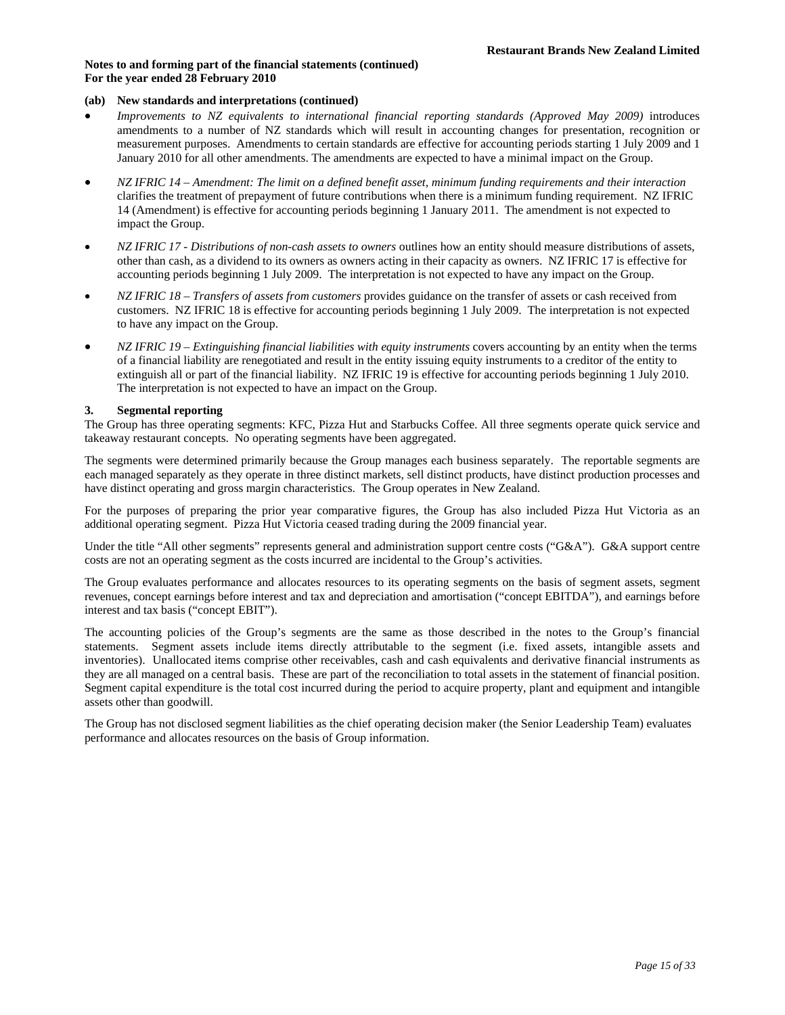### **(ab) New standards and interpretations (continued)**

- *Improvements to NZ equivalents to international financial reporting standards (Approved May 2009)* introduces amendments to a number of NZ standards which will result in accounting changes for presentation, recognition or measurement purposes. Amendments to certain standards are effective for accounting periods starting 1 July 2009 and 1 January 2010 for all other amendments. The amendments are expected to have a minimal impact on the Group.
- *NZ IFRIC 14 Amendment: The limit on a defined benefit asset, minimum funding requirements and their interaction*  clarifies the treatment of prepayment of future contributions when there is a minimum funding requirement. NZ IFRIC 14 (Amendment) is effective for accounting periods beginning 1 January 2011. The amendment is not expected to impact the Group.
- *NZ IFRIC 17 Distributions of non-cash assets to owners* outlines how an entity should measure distributions of assets, other than cash, as a dividend to its owners as owners acting in their capacity as owners. NZ IFRIC 17 is effective for accounting periods beginning 1 July 2009. The interpretation is not expected to have any impact on the Group.
- *NZ IFRIC 18 Transfers of assets from customers* provides guidance on the transfer of assets or cash received from customers. NZ IFRIC 18 is effective for accounting periods beginning 1 July 2009. The interpretation is not expected to have any impact on the Group.
- *NZ IFRIC 19 Extinguishing financial liabilities with equity instruments* covers accounting by an entity when the terms of a financial liability are renegotiated and result in the entity issuing equity instruments to a creditor of the entity to extinguish all or part of the financial liability. NZ IFRIC 19 is effective for accounting periods beginning 1 July 2010. The interpretation is not expected to have an impact on the Group.

# **3. Segmental reporting**

The Group has three operating segments: KFC, Pizza Hut and Starbucks Coffee. All three segments operate quick service and takeaway restaurant concepts. No operating segments have been aggregated.

The segments were determined primarily because the Group manages each business separately. The reportable segments are each managed separately as they operate in three distinct markets, sell distinct products, have distinct production processes and have distinct operating and gross margin characteristics. The Group operates in New Zealand.

For the purposes of preparing the prior year comparative figures, the Group has also included Pizza Hut Victoria as an additional operating segment. Pizza Hut Victoria ceased trading during the 2009 financial year.

Under the title "All other segments" represents general and administration support centre costs ("G&A"). G&A support centre costs are not an operating segment as the costs incurred are incidental to the Group's activities.

The Group evaluates performance and allocates resources to its operating segments on the basis of segment assets, segment revenues, concept earnings before interest and tax and depreciation and amortisation ("concept EBITDA"), and earnings before interest and tax basis ("concept EBIT").

The accounting policies of the Group's segments are the same as those described in the notes to the Group's financial statements. Segment assets include items directly attributable to the segment (i.e. fixed assets, intangible assets and inventories). Unallocated items comprise other receivables, cash and cash equivalents and derivative financial instruments as they are all managed on a central basis. These are part of the reconciliation to total assets in the statement of financial position. Segment capital expenditure is the total cost incurred during the period to acquire property, plant and equipment and intangible assets other than goodwill.

The Group has not disclosed segment liabilities as the chief operating decision maker (the Senior Leadership Team) evaluates performance and allocates resources on the basis of Group information.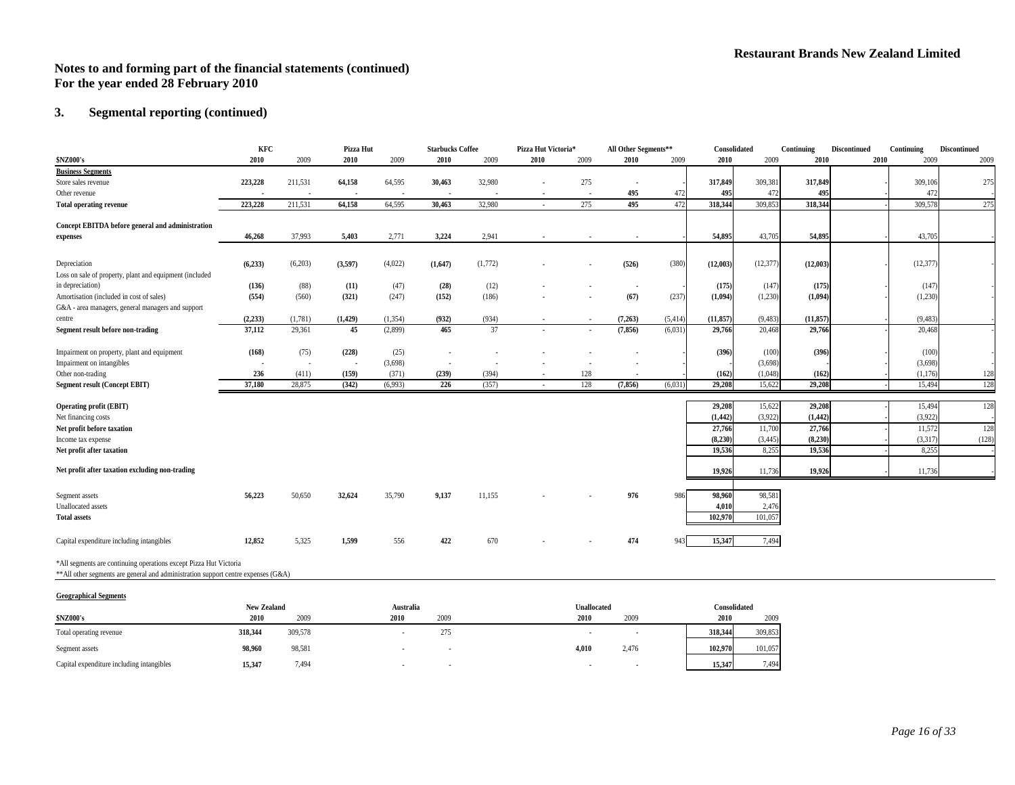# **3. Segmental reporting (continued)**

|                                                                             | KFC            |                          | Pizza Hut |         | <b>Starbucks Coffee</b> |         | Pizza Hut Victoria* |                                  | All Other Segments**   |         | Consolidated |           | Continuing | <b>Discontinued</b> | Continuing | <b>Discontinued</b> |
|-----------------------------------------------------------------------------|----------------|--------------------------|-----------|---------|-------------------------|---------|---------------------|----------------------------------|------------------------|---------|--------------|-----------|------------|---------------------|------------|---------------------|
| \$NZ000's                                                                   | 2010           | 2009                     | 2010      | 2009    | 2010                    | 2009    | 2010                | 2009                             | 2010                   | 2009    | 2010         | 2009      | 2010       | 2010                | 2009       | 2009                |
| <b>Business Segments</b>                                                    |                |                          |           |         |                         |         |                     |                                  |                        |         |              |           |            |                     |            |                     |
| Store sales revenue                                                         | 223,228        | 211,531                  | 64,158    | 64,595  | 30,463                  | 32,980  |                     | 275                              |                        |         | 317,849      | 309,381   | 317,849    |                     | 309,106    | 275                 |
| Other revenue                                                               |                |                          |           |         |                         |         |                     | $\overline{\phantom{a}}$         | 495                    | 472     | 495          | 472       | 495        |                     | 472        |                     |
| <b>Total operating revenue</b>                                              | 223,228        | 211,531                  | 64,158    | 64,595  | 30,463                  | 32,980  |                     | 275                              | 495                    | 472     | 318,344      | 309,853   | 318,344    |                     | 309,578    | 275                 |
| Concept EBITDA before general and administration                            |                |                          |           |         |                         |         |                     |                                  |                        |         |              |           |            |                     |            |                     |
| expenses                                                                    | 46,268         | 37,993                   | 5,403     | 2,771   | 3,224                   | 2,941   |                     |                                  |                        |         | 54,895       | 43,705    | 54,895     |                     | 43,705     |                     |
|                                                                             | (6,233)        |                          |           |         |                         | (1,772) |                     |                                  | (526)                  | (380)   | (12,003)     | (12, 377) | (12,003)   |                     | (12, 377)  |                     |
| Depreciation                                                                |                | (6,203)                  | (3,597)   | (4,022) | (1,647)                 |         |                     | $\blacksquare$                   |                        |         |              |           |            |                     |            |                     |
| Loss on sale of property, plant and equipment (included<br>in depreciation) | (136)          | (88)                     | (11)      | (47)    |                         | (12)    |                     |                                  |                        |         | (175)        | (147)     | (175)      |                     | (147)      |                     |
| Amortisation (included in cost of sales)                                    | (554)          | (560)                    | (321)     | (247)   | (28)<br>(152)           | (186)   |                     | $\blacksquare$                   | $\blacksquare$<br>(67) | (237)   | (1,094)      | (1,230)   | (1,094)    |                     | (1,230)    |                     |
| G&A - area managers, general managers and support                           |                |                          |           |         |                         |         |                     | $\blacksquare$                   |                        |         |              |           |            |                     |            |                     |
| centre                                                                      | (2,233)        | (1,781)                  | (1, 429)  | (1,354) | (932)                   | (934)   |                     |                                  | (7,263)                | (5,414) | (11, 857)    | (9, 483)  | (11, 857)  |                     | (9, 483)   |                     |
| Segment result before non-trading                                           | 37,112         | 29,361                   | 45        | (2,899) | 465                     | 37      | $\sim$              | $\blacksquare$<br>$\blacksquare$ | (7, 856)               | (6,031) | 29,766       | 20,468    | 29,766     |                     | 20,468     |                     |
|                                                                             |                |                          |           |         |                         |         |                     |                                  |                        |         |              |           |            |                     |            |                     |
| Impairment on property, plant and equipment                                 | (168)          | (75)                     | (228)     | (25)    |                         |         |                     |                                  |                        |         | (396)        | (100)     | (396)      |                     | (100)      |                     |
| Impairment on intangibles                                                   | $\blacksquare$ | $\overline{\phantom{a}}$ | $\sim$    | (3,698) |                         |         |                     |                                  |                        |         |              | (3,698)   |            |                     | (3,698)    |                     |
| Other non-trading                                                           | 236            | (411)                    | (159)     | (371)   | (239)                   | (394)   |                     | 128                              |                        |         | (162)        | (1,048)   | (162)      |                     | (1, 176)   | 128                 |
| <b>Segment result (Concept EBIT)</b>                                        | 37,180         | 28,875                   | (342)     | (6.993) | 226                     | (357)   | $\sim$              | 128                              | (7, 856)               | (6.031) | 29.208       | 15.622    | 29,208     |                     | 15,494     | 128                 |
| <b>Operating profit (EBIT)</b>                                              |                |                          |           |         |                         |         |                     |                                  |                        |         | 29,208       | 15,622    | 29,208     |                     | 15,494     | 128                 |
| Net financing costs                                                         |                |                          |           |         |                         |         |                     |                                  |                        |         | (1, 442)     | (3,922)   | (1, 442)   |                     | (3,922)    |                     |
| Net profit before taxation                                                  |                |                          |           |         |                         |         |                     |                                  |                        |         | 27,766       | 11,700    | 27,766     |                     | 11,572     | 128                 |
| Income tax expense                                                          |                |                          |           |         |                         |         |                     |                                  |                        |         | (8,230)      | (3, 445)  | (8,230)    |                     | (3,317)    | (128)               |
| Net profit after taxation                                                   |                |                          |           |         |                         |         |                     |                                  |                        |         | 19,536       | 8,255     | 19,536     |                     | 8,255      |                     |
|                                                                             |                |                          |           |         |                         |         |                     |                                  |                        |         |              |           |            |                     |            |                     |
| Net profit after taxation excluding non-trading                             |                |                          |           |         |                         |         |                     |                                  |                        |         | 19,926       | 11,736    | 19,926     |                     | 11,736     |                     |
| Segment assets                                                              | 56,223         | 50,650                   | 32,624    | 35,790  | 9,137                   | 11,155  |                     |                                  | 976                    | 986     | 98,960       | 98,581    |            |                     |            |                     |
| Unallocated assets                                                          |                |                          |           |         |                         |         |                     |                                  |                        |         | 4.010        | 2,476     |            |                     |            |                     |
| <b>Total assets</b>                                                         |                |                          |           |         |                         |         |                     |                                  |                        |         | 102.970      | 101,057   |            |                     |            |                     |
|                                                                             |                |                          |           |         |                         |         |                     |                                  |                        |         |              |           |            |                     |            |                     |
| Capital expenditure including intangibles                                   | 12,852         | 5,325                    | 1,599     | 556     | 422                     | 670     |                     |                                  | 474                    |         | 15,347       | 7,494     |            |                     |            |                     |

\*All segments are continuing operations except Pizza Hut Victoria

\*\*All other segments are general and administration support centre expenses (G&A)

#### **Geographical Segments**

|                                           | <b>New Zealand</b> |         | Australia |      | <b>Unallocated</b> |       |         | Consolidated |
|-------------------------------------------|--------------------|---------|-----------|------|--------------------|-------|---------|--------------|
| \$NZ000's                                 | 2010               | 2009    | 2010      | 2009 | 2010               | 2009  | 2010    | 2009         |
| Total operating revenue                   | 318,344            | 309,578 |           | 275  |                    |       | 318,344 | 309,853      |
| Segment assets                            | 98,960             | 98,581  |           |      | 4,010              | 2,476 | 102.970 | 101,057      |
| Capital expenditure including intangibles | 15,347             | 7,494   |           |      |                    |       | 15,347  | 7,494        |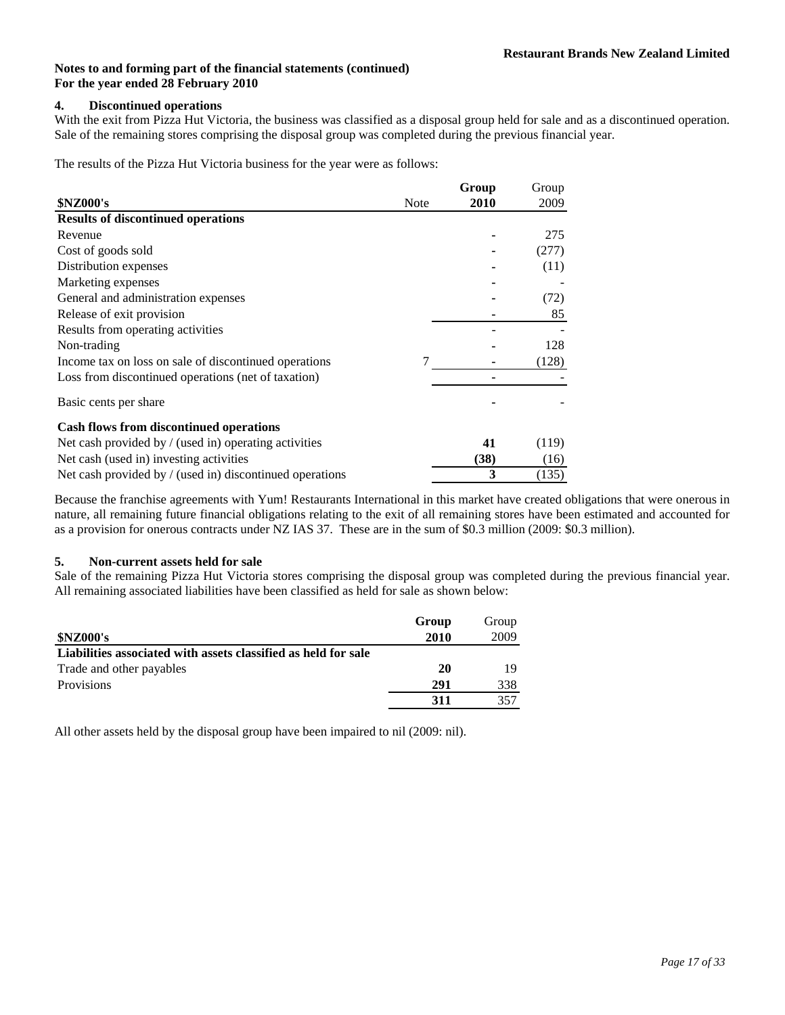# **4. Discontinued operations**

With the exit from Pizza Hut Victoria, the business was classified as a disposal group held for sale and as a discontinued operation. Sale of the remaining stores comprising the disposal group was completed during the previous financial year.

The results of the Pizza Hut Victoria business for the year were as follows:

|                                                            |             | Group | Group |
|------------------------------------------------------------|-------------|-------|-------|
| <b>\$NZ000's</b>                                           | <b>Note</b> | 2010  | 2009  |
| <b>Results of discontinued operations</b>                  |             |       |       |
| Revenue                                                    |             |       | 275   |
| Cost of goods sold                                         |             |       | (277) |
| Distribution expenses                                      |             |       | (11)  |
| Marketing expenses                                         |             |       |       |
| General and administration expenses                        |             |       | (72)  |
| Release of exit provision                                  |             |       | 85    |
| Results from operating activities                          |             |       |       |
| Non-trading                                                |             |       | 128   |
| Income tax on loss on sale of discontinued operations      |             |       | (128) |
| Loss from discontinued operations (net of taxation)        |             |       |       |
| Basic cents per share                                      |             |       |       |
| <b>Cash flows from discontinued operations</b>             |             |       |       |
| Net cash provided by $/$ (used in) operating activities    |             | 41    | (119) |
| Net cash (used in) investing activities                    |             | (38)  | (16)  |
| Net cash provided by $/$ (used in) discontinued operations |             | 3     | (135) |

Because the franchise agreements with Yum! Restaurants International in this market have created obligations that were onerous in nature, all remaining future financial obligations relating to the exit of all remaining stores have been estimated and accounted for as a provision for onerous contracts under NZ IAS 37. These are in the sum of \$0.3 million (2009: \$0.3 million).

# **5. Non-current assets held for sale**

Sale of the remaining Pizza Hut Victoria stores comprising the disposal group was completed during the previous financial year. All remaining associated liabilities have been classified as held for sale as shown below:

|                                                                | Group | Group |
|----------------------------------------------------------------|-------|-------|
| <b>\$NZ000's</b>                                               | 2010  | 2009  |
| Liabilities associated with assets classified as held for sale |       |       |
| Trade and other payables                                       | 20    | 19    |
| <b>Provisions</b>                                              | 291   | 338   |
|                                                                | 311   | 357   |

All other assets held by the disposal group have been impaired to nil (2009: nil).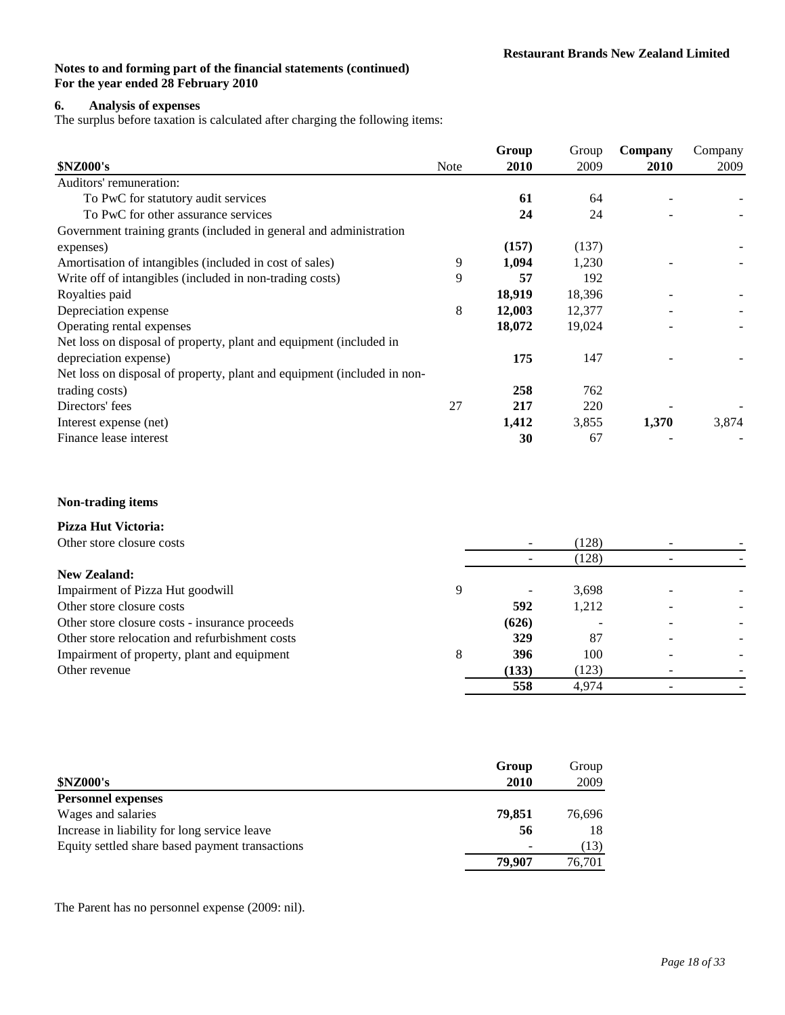# **6. Analysis of expenses**

The surplus before taxation is calculated after charging the following items:

|                                                                         |             | Group  | Group  | Company | Company |
|-------------------------------------------------------------------------|-------------|--------|--------|---------|---------|
| <b>\$NZ000's</b>                                                        | <b>Note</b> | 2010   | 2009   | 2010    | 2009    |
| Auditors' remuneration:                                                 |             |        |        |         |         |
| To PwC for statutory audit services                                     |             | 61     | 64     |         |         |
| To PwC for other assurance services                                     |             | 24     | 24     |         |         |
| Government training grants (included in general and administration      |             |        |        |         |         |
| expenses)                                                               |             | (157)  | (137)  |         |         |
| Amortisation of intangibles (included in cost of sales)                 | 9           | 1,094  | 1,230  |         |         |
| Write off of intangibles (included in non-trading costs)                | 9           | 57     | 192    |         |         |
| Royalties paid                                                          |             | 18,919 | 18,396 |         |         |
| Depreciation expense                                                    | 8           | 12,003 | 12,377 |         |         |
| Operating rental expenses                                               |             | 18,072 | 19,024 |         |         |
| Net loss on disposal of property, plant and equipment (included in      |             |        |        |         |         |
| depreciation expense)                                                   |             | 175    | 147    |         |         |
| Net loss on disposal of property, plant and equipment (included in non- |             |        |        |         |         |
| trading costs)                                                          |             | 258    | 762    |         |         |
| Directors' fees                                                         | 27          | 217    | 220    |         |         |
| Interest expense (net)                                                  |             | 1,412  | 3,855  | 1,370   | 3,874   |
| Finance lease interest                                                  |             | 30     | 67     |         |         |

# **Non-trading items**

# **Pizza Hut Victoria:**

| Other store closure costs                      |   |       | (128) |  |
|------------------------------------------------|---|-------|-------|--|
|                                                |   |       | (128) |  |
| <b>New Zealand:</b>                            |   |       |       |  |
| Impairment of Pizza Hut goodwill               | 9 |       | 3,698 |  |
| Other store closure costs                      |   | 592   | 1,212 |  |
| Other store closure costs - insurance proceeds |   | (626) |       |  |
| Other store relocation and refurbishment costs |   | 329   | 87    |  |
| Impairment of property, plant and equipment    | 8 | 396   | 100   |  |
| Other revenue                                  |   | (133) | (123) |  |
|                                                |   | 558   | 4.974 |  |

|                                                 | Group                    | Group  |
|-------------------------------------------------|--------------------------|--------|
| <b>\$NZ000's</b>                                | 2010                     | 2009   |
| <b>Personnel expenses</b>                       |                          |        |
| Wages and salaries                              | 79.851                   | 76,696 |
| Increase in liability for long service leave    | 56                       | 18     |
| Equity settled share based payment transactions | $\overline{\phantom{0}}$ | (13)   |
|                                                 | 79.907                   | 76,701 |

The Parent has no personnel expense (2009: nil).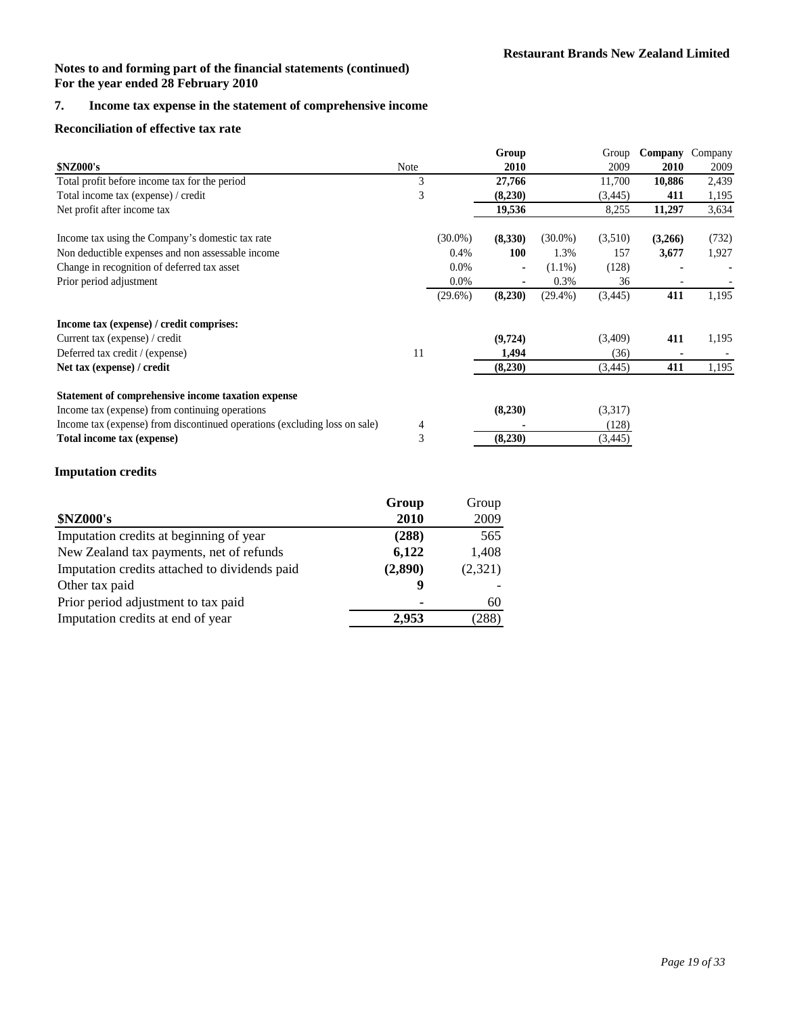# **7. Income tax expense in the statement of comprehensive income**

# **Reconciliation of effective tax rate**

|                                                                            |                |            | Group   |            | Group    | Company | Company |
|----------------------------------------------------------------------------|----------------|------------|---------|------------|----------|---------|---------|
| <b>\$NZ000's</b>                                                           | Note           |            | 2010    |            | 2009     | 2010    | 2009    |
| Total profit before income tax for the period                              | 3              |            | 27,766  |            | 11,700   | 10,886  | 2,439   |
| Total income tax (expense) / credit                                        | $\mathfrak{Z}$ |            | (8,230) |            | (3, 445) | 411     | 1,195   |
| Net profit after income tax                                                |                |            | 19,536  |            | 8,255    | 11,297  | 3,634   |
| Income tax using the Company's domestic tax rate                           |                | $(30.0\%)$ | (8,330) | $(30.0\%)$ | (3,510)  | (3,266) | (732)   |
| Non deductible expenses and non assessable income                          |                | $0.4\%$    | 100     | 1.3%       | 157      | 3,677   | 1,927   |
| Change in recognition of deferred tax asset                                |                | 0.0%       | ٠       | $(1.1\%)$  | (128)    |         |         |
| Prior period adjustment                                                    |                | $0.0\%$    |         | 0.3%       | 36       |         |         |
|                                                                            |                | $(29.6\%)$ | (8,230) | $(29.4\%)$ | (3,445)  | 411     | 1,195   |
| Income tax (expense) / credit comprises:                                   |                |            |         |            |          |         |         |
| Current tax (expense) / credit                                             |                |            | (9,724) |            | (3,409)  | 411     | 1,195   |
| Deferred tax credit / (expense)                                            | 11             |            | 1,494   |            | (36)     |         |         |
| Net tax (expense) / credit                                                 |                |            | (8,230) |            | (3, 445) | 411     | 1,195   |
| Statement of comprehensive income taxation expense                         |                |            |         |            |          |         |         |
| Income tax (expense) from continuing operations                            |                |            | (8,230) |            | (3,317)  |         |         |
| Income tax (expense) from discontinued operations (excluding loss on sale) | 4              |            |         |            | (128)    |         |         |
| Total income tax (expense)                                                 | 3              |            | (8,230) |            | (3,445)  |         |         |

# **Imputation credits**

| Group   | Group   |
|---------|---------|
| 2010    | 2009    |
| (288)   | 565     |
| 6,122   | 1,408   |
| (2,890) | (2,321) |
| g       |         |
|         | 60      |
| 2.953   | 288)    |
|         |         |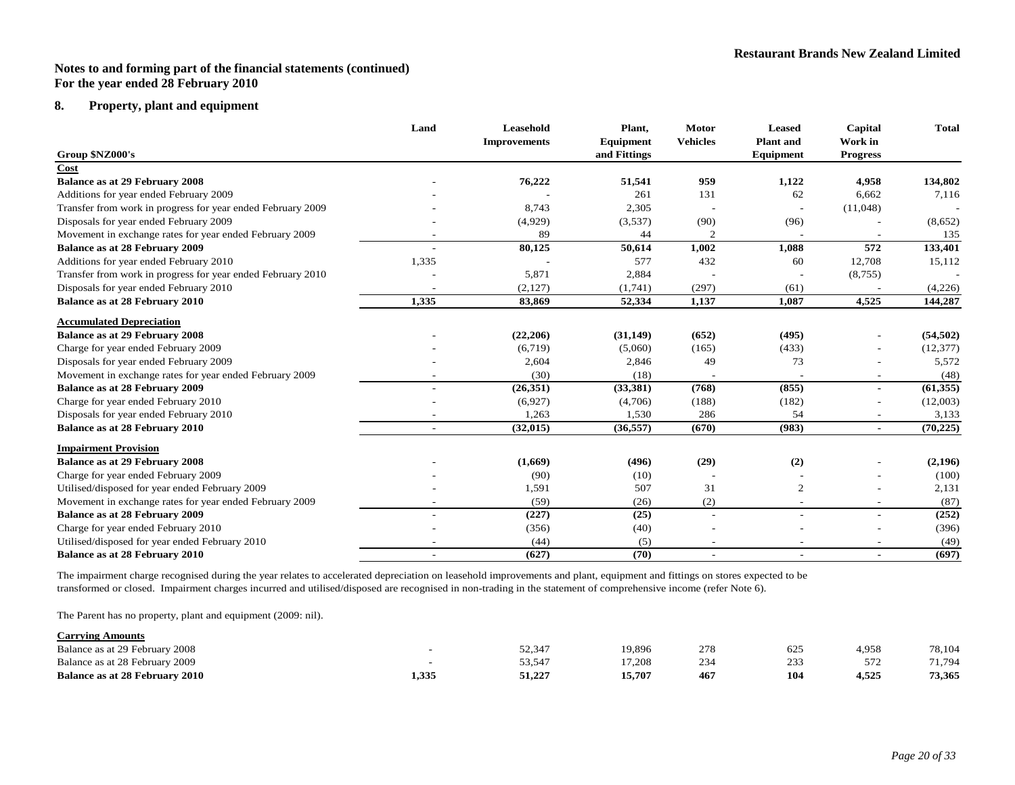# **8. Property, plant and equipment**

|                                                             | Land                     | Leasehold           | Plant,       | Motor                    | <b>Leased</b>     | Capital         | <b>Total</b> |
|-------------------------------------------------------------|--------------------------|---------------------|--------------|--------------------------|-------------------|-----------------|--------------|
|                                                             |                          | <b>Improvements</b> | Equipment    | <b>Vehicles</b>          | <b>Plant</b> and  | Work in         |              |
| Group \$NZ000's                                             |                          |                     | and Fittings |                          | Equipment         | <b>Progress</b> |              |
| Cost                                                        |                          |                     |              |                          |                   |                 |              |
| <b>Balance as at 29 February 2008</b>                       |                          | 76,222              | 51,541       | 959                      | 1,122             | 4,958           | 134,802      |
| Additions for year ended February 2009                      |                          |                     | 261          | 131                      | 62                | 6,662           | 7,116        |
| Transfer from work in progress for year ended February 2009 |                          | 8,743               | 2,305        |                          | $\qquad \qquad -$ | (11,048)        |              |
| Disposals for year ended February 2009                      |                          | (4,929)             | (3,537)      | (90)                     | (96)              |                 | (8,652)      |
| Movement in exchange rates for year ended February 2009     |                          | 89                  | 44           |                          |                   |                 | 135          |
| <b>Balance as at 28 February 2009</b>                       |                          | 80,125              | 50,614       | 1,002                    | 1,088             | 572             | 133,401      |
| Additions for year ended February 2010                      | 1,335                    |                     | 577          | 432                      | 60                | 12,708          | 15,112       |
| Transfer from work in progress for year ended February 2010 |                          | 5,871               | 2,884        |                          |                   | (8,755)         |              |
| Disposals for year ended February 2010                      |                          | (2,127)             | (1,741)      | (297)                    | (61)              | $\overline{a}$  | (4,226)      |
| <b>Balance as at 28 February 2010</b>                       | 1.335                    | 83,869              | 52,334       | 1.137                    | 1.087             | 4,525           | 144,287      |
| <b>Accumulated Depreciation</b>                             |                          |                     |              |                          |                   |                 |              |
| <b>Balance as at 29 February 2008</b>                       |                          | (22, 206)           | (31, 149)    | (652)                    | (495)             |                 | (54, 502)    |
| Charge for year ended February 2009                         |                          | (6,719)             | (5,060)      | (165)                    | (433)             |                 | (12, 377)    |
| Disposals for year ended February 2009                      |                          | 2,604               | 2,846        | 49                       | 73                |                 | 5,572        |
| Movement in exchange rates for year ended February 2009     |                          | (30)                | (18)         |                          |                   |                 | (48)         |
| <b>Balance as at 28 February 2009</b>                       |                          | (26, 351)           | (33, 381)    | (768)                    | (855)             | $\blacksquare$  | (61, 355)    |
| Charge for year ended February 2010                         |                          | (6,927)             | (4,706)      | (188)                    | (182)             |                 | (12,003)     |
| Disposals for year ended February 2010                      |                          | 1,263               | 1,530        | 286                      | 54                |                 | 3,133        |
| <b>Balance as at 28 February 2010</b>                       | $\overline{\phantom{0}}$ | (32, 015)           | (36, 557)    | (670)                    | (983)             | $\blacksquare$  | (70, 225)    |
| <b>Impairment Provision</b>                                 |                          |                     |              |                          |                   |                 |              |
| <b>Balance as at 29 February 2008</b>                       |                          | (1,669)             | (496)        | (29)                     | (2)               |                 | (2,196)      |
| Charge for year ended February 2009                         |                          | (90)                | (10)         |                          |                   |                 | (100)        |
| Utilised/disposed for year ended February 2009              |                          | 1,591               | 507          | 31                       | 2                 |                 | 2,131        |
| Movement in exchange rates for year ended February 2009     |                          | (59)                | (26)         | (2)                      |                   |                 | (87)         |
| Balance as at 28 February 2009                              |                          | (227)               | (25)         |                          |                   |                 | (252)        |
| Charge for year ended February 2010                         |                          | (356)               | (40)         |                          |                   |                 | (396)        |
| Utilised/disposed for year ended February 2010              |                          | (44)                | (5)          |                          |                   |                 | (49)         |
| <b>Balance as at 28 February 2010</b>                       | $\overline{\phantom{a}}$ | (627)               | (70)         | $\overline{\phantom{a}}$ |                   | $\blacksquare$  | (697)        |

The impairment charge recognised during the year relates to accelerated depreciation on leasehold improvements and plant, equipment and fittings on stores expected to be transformed or closed. Impairment charges incurred and utilised/disposed are recognised in non-trading in the statement of comprehensive income (refer Note 6).

The Parent has no property, plant and equipment (2009: nil).

| <b>Carrying Amounts</b>        |       |        |        |     |     |       |        |
|--------------------------------|-------|--------|--------|-----|-----|-------|--------|
| Balance as at 29 February 2008 |       | 52,347 | 19,896 | 278 | 625 | 4,958 | 78,104 |
| Balance as at 28 February 2009 |       | 53,547 | '7,208 | 234 | 233 | 572   | 71,794 |
| Balance as at 28 February 2010 | 1,335 | 51,227 | 15.707 | 467 | 104 | 4,525 | 73,365 |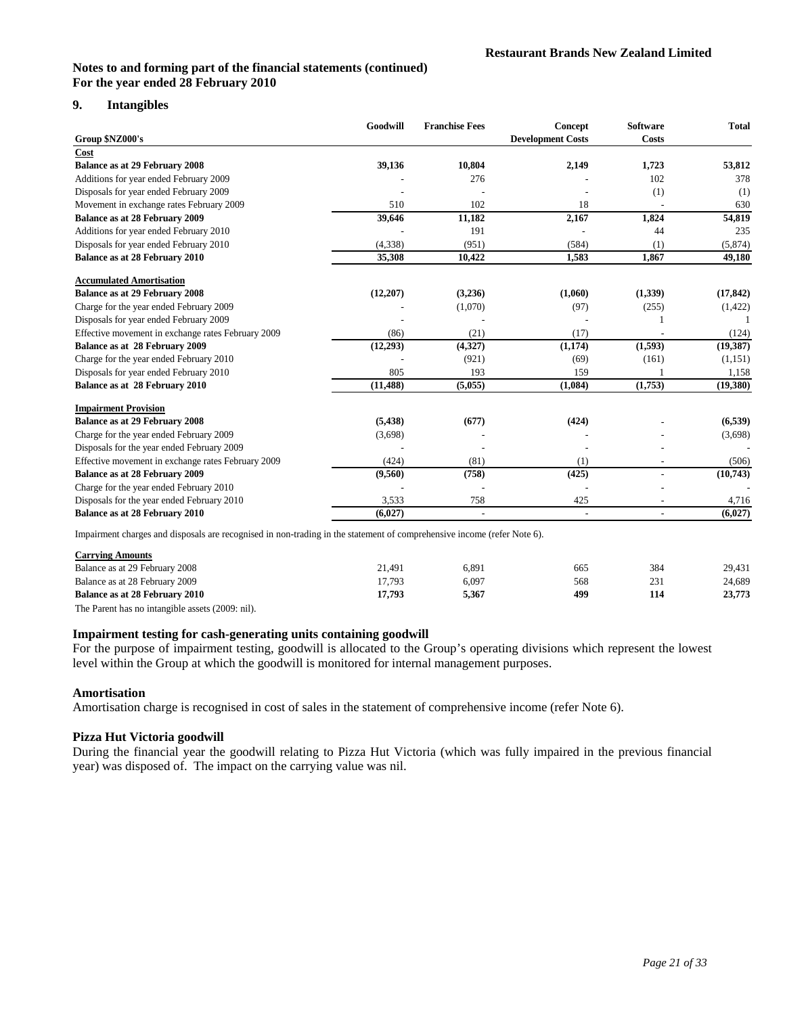# **9. Intangibles**

|                                                    | Goodwill  | <b>Franchise Fees</b>    | Concept                  | <b>Software</b> | <b>Total</b> |
|----------------------------------------------------|-----------|--------------------------|--------------------------|-----------------|--------------|
| Group \$NZ000's                                    |           |                          | <b>Development Costs</b> | Costs           |              |
| Cost                                               |           |                          |                          |                 |              |
| <b>Balance as at 29 February 2008</b>              | 39,136    | 10,804                   | 2,149                    | 1,723           | 53,812       |
| Additions for year ended February 2009             |           | 276                      |                          | 102             | 378          |
| Disposals for year ended February 2009             |           |                          |                          | (1)             | (1)          |
| Movement in exchange rates February 2009           | 510       | 102                      | 18                       |                 | 630          |
| <b>Balance as at 28 February 2009</b>              | 39,646    | 11,182                   | 2,167                    | 1,824           | 54,819       |
| Additions for year ended February 2010             |           | 191                      |                          | 44              | 235          |
| Disposals for year ended February 2010             | (4, 338)  | (951)                    | (584)                    | (1)             | (5,874)      |
| <b>Balance as at 28 February 2010</b>              | 35,308    | 10,422                   | 1,583                    | 1,867           | 49,180       |
| <b>Accumulated Amortisation</b>                    |           |                          |                          |                 |              |
| <b>Balance as at 29 February 2008</b>              | (12,207)  | (3,236)                  | (1,060)                  | (1,339)         | (17, 842)    |
| Charge for the year ended February 2009            |           | (1,070)                  | (97)                     | (255)           | (1,422)      |
| Disposals for year ended February 2009             |           |                          |                          |                 |              |
| Effective movement in exchange rates February 2009 | (86)      | (21)                     | (17)                     |                 | (124)        |
| Balance as at 28 February 2009                     | (12,293)  | (4,327)                  | (1,174)                  | (1,593)         | (19, 387)    |
| Charge for the year ended February 2010            |           | (921)                    | (69)                     | (161)           | (1,151)      |
| Disposals for year ended February 2010             | 805       | 193                      | 159                      |                 | 1,158        |
| Balance as at 28 February 2010                     | (11, 488) | (5,055)                  | (1,084)                  | (1,753)         | (19,380)     |
| <b>Impairment Provision</b>                        |           |                          |                          |                 |              |
| <b>Balance as at 29 February 2008</b>              | (5, 438)  | (677)                    | (424)                    |                 | (6, 539)     |
| Charge for the year ended February 2009            | (3,698)   |                          |                          |                 | (3,698)      |
| Disposals for the year ended February 2009         |           |                          |                          |                 |              |
| Effective movement in exchange rates February 2009 | (424)     | (81)                     | (1)                      |                 | (506)        |
| <b>Balance as at 28 February 2009</b>              | (9,560)   | (758)                    | (425)                    |                 | (10,743)     |
| Charge for the year ended February 2010            |           |                          |                          |                 |              |
| Disposals for the year ended February 2010         | 3,533     | 758                      | 425                      |                 | 4,716        |
| <b>Balance as at 28 February 2010</b>              | (6,027)   | $\overline{\phantom{a}}$ | $\overline{\phantom{a}}$ |                 | (6,027)      |

Impairment charges and disposals are recognised in non-trading in the statement of comprehensive income (refer Note 6).

| <b>Carrying Amounts</b>                         |        |       |     |     |        |
|-------------------------------------------------|--------|-------|-----|-----|--------|
| Balance as at 29 February 2008                  | 21.491 | 6.891 | 665 | 384 | 29.431 |
| Balance as at 28 February 2009                  | 17.793 | 6.097 | 568 | 231 | 24.689 |
| Balance as at 28 February 2010                  | 17.793 | 5.367 | 499 | 114 | 23,773 |
| The Depart has no intensible essate (2000; nil) |        |       |     |     |        |

The Parent has no intangible assets (2009: nil).

# **Impairment testing for cash-generating units containing goodwill**

For the purpose of impairment testing, goodwill is allocated to the Group's operating divisions which represent the lowest level within the Group at which the goodwill is monitored for internal management purposes.

### **Amortisation**

Amortisation charge is recognised in cost of sales in the statement of comprehensive income (refer Note 6).

### **Pizza Hut Victoria goodwill**

During the financial year the goodwill relating to Pizza Hut Victoria (which was fully impaired in the previous financial year) was disposed of. The impact on the carrying value was nil.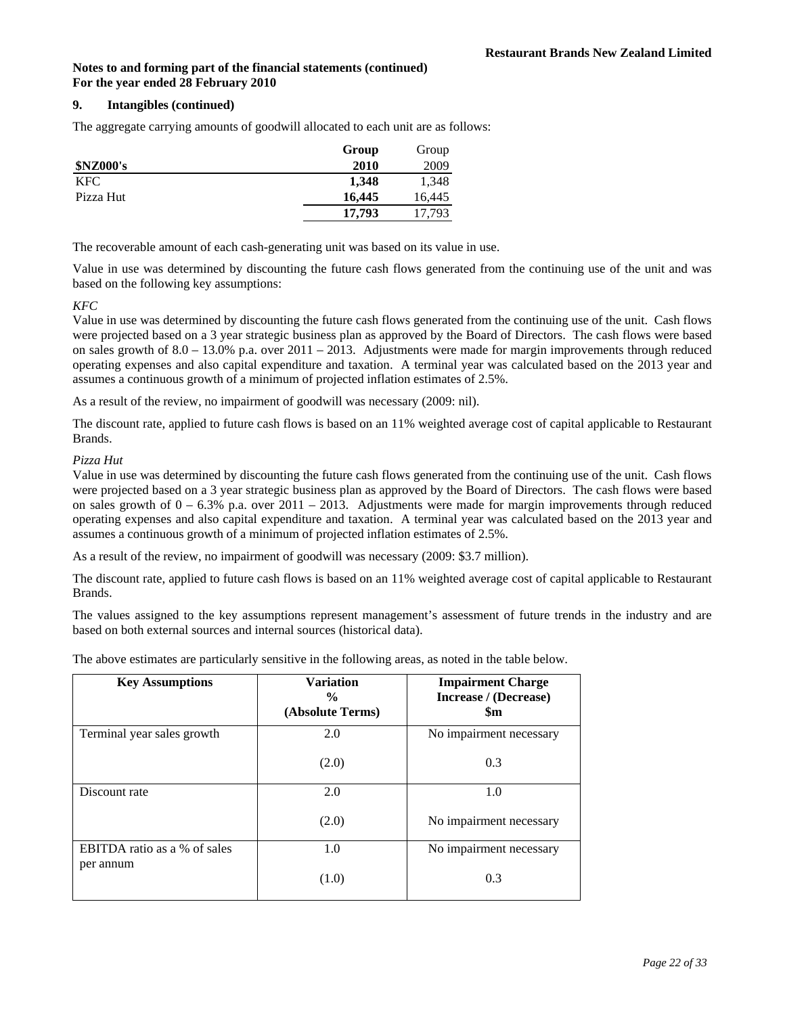# **9. Intangibles (continued)**

The aggregate carrying amounts of goodwill allocated to each unit are as follows:

|                  | Group  | Group  |
|------------------|--------|--------|
| <b>\$NZ000's</b> | 2010   | 2009   |
| <b>KFC</b>       | 1.348  | 1,348  |
| Pizza Hut        | 16.445 | 16,445 |
|                  | 17,793 | 17.793 |

The recoverable amount of each cash-generating unit was based on its value in use.

Value in use was determined by discounting the future cash flows generated from the continuing use of the unit and was based on the following key assumptions:

### *KFC*

Value in use was determined by discounting the future cash flows generated from the continuing use of the unit. Cash flows were projected based on a 3 year strategic business plan as approved by the Board of Directors. The cash flows were based on sales growth of  $8.0 - 13.0\%$  p.a. over  $2011 - 2013$ . Adjustments were made for margin improvements through reduced operating expenses and also capital expenditure and taxation. A terminal year was calculated based on the 2013 year and assumes a continuous growth of a minimum of projected inflation estimates of 2.5%.

As a result of the review, no impairment of goodwill was necessary (2009: nil).

The discount rate, applied to future cash flows is based on an 11% weighted average cost of capital applicable to Restaurant Brands.

# *Pizza Hut*

Value in use was determined by discounting the future cash flows generated from the continuing use of the unit. Cash flows were projected based on a 3 year strategic business plan as approved by the Board of Directors. The cash flows were based on sales growth of  $0 - 6.3\%$  p.a. over 2011 – 2013. Adjustments were made for margin improvements through reduced operating expenses and also capital expenditure and taxation. A terminal year was calculated based on the 2013 year and assumes a continuous growth of a minimum of projected inflation estimates of 2.5%.

As a result of the review, no impairment of goodwill was necessary (2009: \$3.7 million).

The discount rate, applied to future cash flows is based on an 11% weighted average cost of capital applicable to Restaurant Brands.

The values assigned to the key assumptions represent management's assessment of future trends in the industry and are based on both external sources and internal sources (historical data).

The above estimates are particularly sensitive in the following areas, as noted in the table below.

| <b>Key Assumptions</b>                    | <b>Variation</b><br>$\frac{0}{0}$<br>(Absolute Terms) | <b>Impairment Charge</b><br>Increase / (Decrease)<br>\$m |
|-------------------------------------------|-------------------------------------------------------|----------------------------------------------------------|
| Terminal year sales growth                | 2.0                                                   | No impairment necessary                                  |
|                                           | (2.0)                                                 | 0.3                                                      |
| Discount rate                             | 2.0                                                   | 1.0                                                      |
|                                           | (2.0)                                                 | No impairment necessary                                  |
| EBITDA ratio as a % of sales<br>per annum | 1.0                                                   | No impairment necessary                                  |
|                                           | (1.0)                                                 | 0.3                                                      |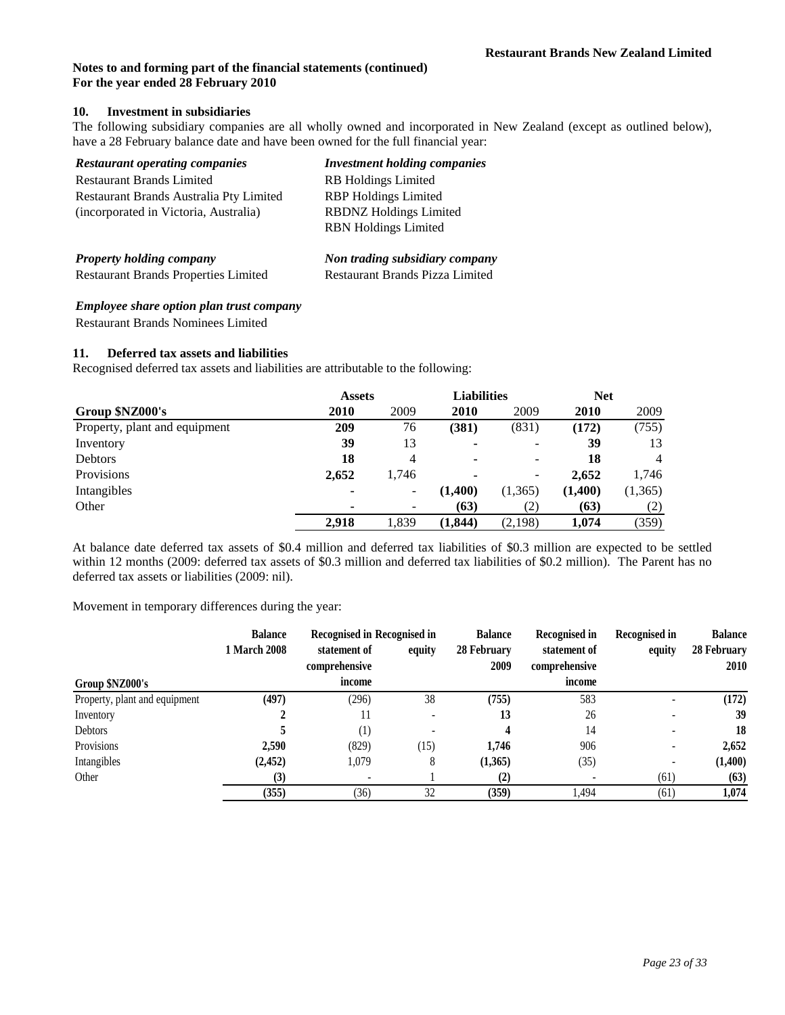# **10. Investment in subsidiaries**

The following subsidiary companies are all wholly owned and incorporated in New Zealand (except as outlined below), have a 28 February balance date and have been owned for the full financial year:

| <b>Restaurant operating companies</b>       | <b>Investment holding companies</b>    |
|---------------------------------------------|----------------------------------------|
| <b>Restaurant Brands Limited</b>            | <b>RB</b> Holdings Limited             |
| Restaurant Brands Australia Pty Limited     | <b>RBP</b> Holdings Limited            |
| (incorporated in Victoria, Australia)       | <b>RBDNZ Holdings Limited</b>          |
|                                             | <b>RBN</b> Holdings Limited            |
|                                             |                                        |
| <b>Property holding company</b>             | Non trading subsidiary company         |
| <b>Restaurant Brands Properties Limited</b> | <b>Restaurant Brands Pizza Limited</b> |

# *Employee share option plan trust company*

Restaurant Brands Nominees Limited

# **11. Deferred tax assets and liabilities**

Recognised deferred tax assets and liabilities are attributable to the following:

|                               | <b>Assets</b> |       | <b>Liabilities</b> |                              | <b>Net</b> |                |
|-------------------------------|---------------|-------|--------------------|------------------------------|------------|----------------|
| Group \$NZ000's               | 2010          | 2009  | 2010               | 2009                         | 2010       | 2009           |
| Property, plant and equipment | 209           | 76    | (381)              | (831)                        | (172)      | (755)          |
| Inventory                     | 39            | 13    |                    | $\qquad \qquad \blacksquare$ | 39         | 13             |
| Debtors                       | 18            | 4     |                    | $\overline{\phantom{a}}$     | 18         | $\overline{4}$ |
| Provisions                    | 2,652         | 1.746 | $\blacksquare$     | $\overline{\phantom{a}}$     | 2.652      | 1.746          |
| Intangibles                   |               |       | (1,400)            | (1,365)                      | (1,400)    | (1,365)        |
| Other                         | ۰             |       | (63)               | (2)                          | (63)       | (2)            |
|                               | 2.918         | 1,839 | (1, 844)           | (2, 198)                     | 1.074      | (359)          |

At balance date deferred tax assets of \$0.4 million and deferred tax liabilities of \$0.3 million are expected to be settled within 12 months (2009: deferred tax assets of \$0.3 million and deferred tax liabilities of \$0.2 million). The Parent has no deferred tax assets or liabilities (2009: nil).

Movement in temporary differences during the year:

|                               | <b>Balance</b><br>Recognised in Recognised in |                  |        | <b>Balance</b> | <b>Recognised in</b> | <b>Recognised in</b>     | <b>Balance</b> |
|-------------------------------|-----------------------------------------------|------------------|--------|----------------|----------------------|--------------------------|----------------|
|                               | 1 March 2008                                  | statement of     | equity | 28 February    | statement of         | equity                   | 28 February    |
|                               |                                               | comprehensive    |        | 2009           | comprehensive        |                          | 2010           |
| Group \$NZ000's               |                                               | income           |        |                | income               |                          |                |
| Property, plant and equipment | (497)                                         | (296)            | 38     | (755)          | 583                  | $\overline{\phantom{a}}$ | (172)          |
| Inventory                     |                                               | 11               |        | 13             | 26                   |                          | 39             |
| Debtors                       |                                               | $\left(1\right)$ |        |                | 14                   |                          | 18             |
| Provisions                    | 2,590                                         | (829)            | (15)   | 1,746          | 906                  | $\overline{\phantom{a}}$ | 2,652          |
| Intangibles                   | (2, 452)                                      | 1,079            | 8      | (1,365)        | (35)                 |                          | (1,400)        |
| Other                         | (3)                                           |                  |        | (2)            |                      | (61)                     | (63)           |
|                               | (355)                                         | (36)             | 32     | (359)          | 1,494                | (61)                     | 1,074          |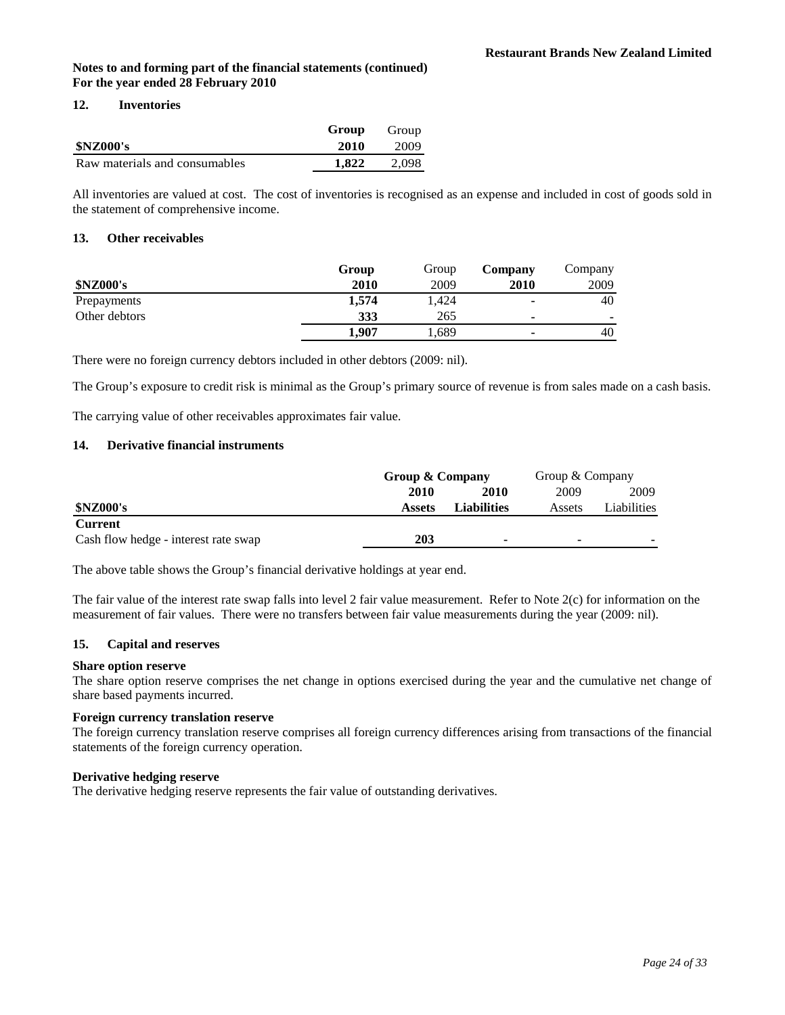# **12. Inventories**

|                               | Group | Group |
|-------------------------------|-------|-------|
| <b>\$NZ000's</b>              | 2010  | 2009  |
| Raw materials and consumables | 1.822 | 2.098 |

All inventories are valued at cost. The cost of inventories is recognised as an expense and included in cost of goods sold in the statement of comprehensive income.

# **13. Other receivables**

|                  | Group | Group | Company | Company                  |
|------------------|-------|-------|---------|--------------------------|
| <b>\$NZ000's</b> | 2010  | 2009  | 2010    | 2009                     |
| Prepayments      | 1.574 | 1.424 |         | 40                       |
| Other debtors    | 333   | 265   | ۰       | $\overline{\phantom{0}}$ |
|                  | 1.907 | .689  | ۰       | 40                       |

There were no foreign currency debtors included in other debtors (2009: nil).

The Group's exposure to credit risk is minimal as the Group's primary source of revenue is from sales made on a cash basis.

The carrying value of other receivables approximates fair value.

# **14. Derivative financial instruments**

|                                      |               | Group & Company    |        | Group & Company |
|--------------------------------------|---------------|--------------------|--------|-----------------|
|                                      | 2010          | 2010               | 2009   | 2009            |
| <b>\$NZ000's</b>                     | <b>Assets</b> | <b>Liabilities</b> | Assets | Liabilities     |
| <b>Current</b>                       |               |                    |        |                 |
| Cash flow hedge - interest rate swap | 203           |                    | ٠      |                 |

The above table shows the Group's financial derivative holdings at year end.

The fair value of the interest rate swap falls into level 2 fair value measurement. Refer to Note 2(c) for information on the measurement of fair values. There were no transfers between fair value measurements during the year (2009: nil).

# **15. Capital and reserves**

### **Share option reserve**

The share option reserve comprises the net change in options exercised during the year and the cumulative net change of share based payments incurred.

# **Foreign currency translation reserve**

The foreign currency translation reserve comprises all foreign currency differences arising from transactions of the financial statements of the foreign currency operation.

### **Derivative hedging reserve**

The derivative hedging reserve represents the fair value of outstanding derivatives.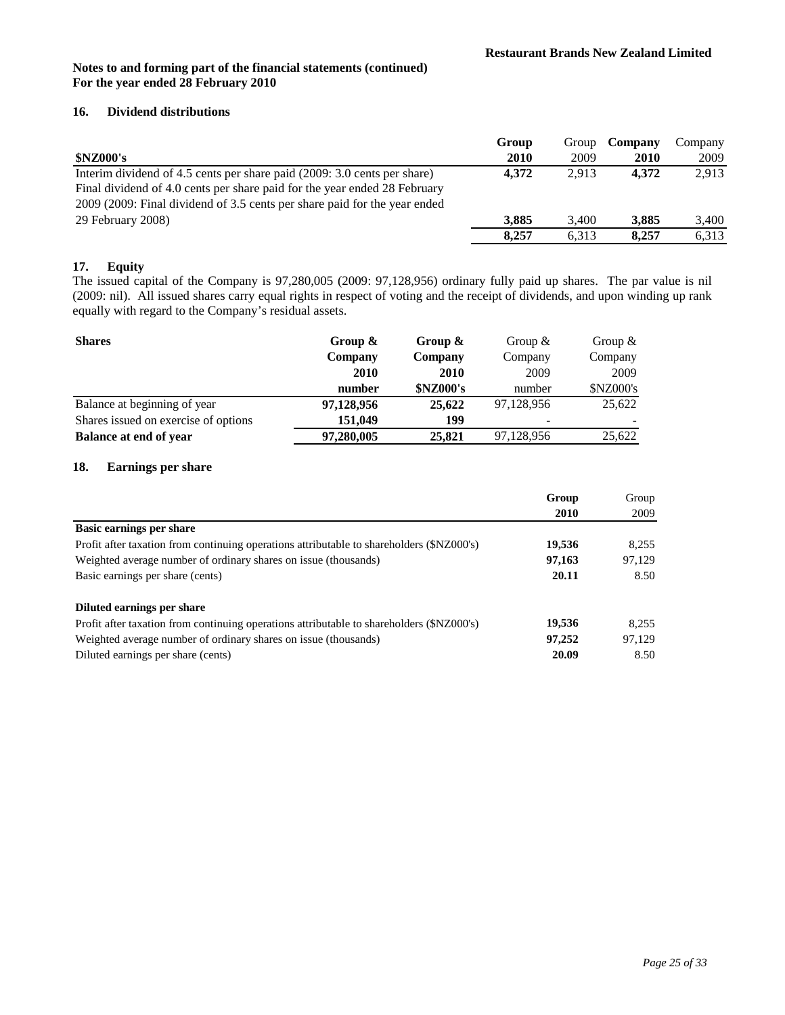# **16. Dividend distributions**

|                                                                           | Group       | Group | Company | Company |
|---------------------------------------------------------------------------|-------------|-------|---------|---------|
| <b>\$NZ000's</b>                                                          | <b>2010</b> | 2009  | 2010    | 2009    |
| Interim dividend of 4.5 cents per share paid (2009: 3.0 cents per share)  | 4.372       | 2.913 | 4.372   | 2,913   |
| Final dividend of 4.0 cents per share paid for the year ended 28 February |             |       |         |         |
| 2009 (2009: Final dividend of 3.5 cents per share paid for the year ended |             |       |         |         |
| 29 February 2008)                                                         | 3.885       | 3.400 | 3.885   | 3,400   |
|                                                                           | 8,257       | 6.313 | 8.257   | 6.313   |

# **17. Equity**

The issued capital of the Company is 97,280,005 (2009: 97,128,956) ordinary fully paid up shares. The par value is nil (2009: nil). All issued shares carry equal rights in respect of voting and the receipt of dividends, and upon winding up rank equally with regard to the Company's residual assets.

| <b>Shares</b>                        | Group $\&$ | Group $\&$       | Group $\&$               | Group $\&$       |
|--------------------------------------|------------|------------------|--------------------------|------------------|
|                                      | Company    | Company          | Company                  | Company          |
|                                      | 2010       | 2010             | 2009                     | 2009             |
|                                      | number     | <b>\$NZ000's</b> | number                   | <b>\$NZ000's</b> |
| Balance at beginning of year         | 97,128,956 | 25,622           | 97,128,956               | 25,622           |
| Shares issued on exercise of options | 151,049    | 199              | $\overline{\phantom{a}}$ |                  |
| <b>Balance at end of year</b>        | 97,280,005 | 25,821           | 97,128,956               | 25,622           |

# **18. Earnings per share**

|                                                                                           | Group  | Group  |
|-------------------------------------------------------------------------------------------|--------|--------|
|                                                                                           | 2010   | 2009   |
| Basic earnings per share                                                                  |        |        |
| Profit after taxation from continuing operations attributable to shareholders (\$NZ000's) | 19,536 | 8.255  |
| Weighted average number of ordinary shares on issue (thousands)                           | 97,163 | 97.129 |
| Basic earnings per share (cents)                                                          | 20.11  | 8.50   |
| Diluted earnings per share                                                                |        |        |
| Profit after taxation from continuing operations attributable to shareholders (\$NZ000's) | 19,536 | 8.255  |
| Weighted average number of ordinary shares on issue (thousands)                           | 97,252 | 97,129 |
| Diluted earnings per share (cents)                                                        | 20.09  | 8.50   |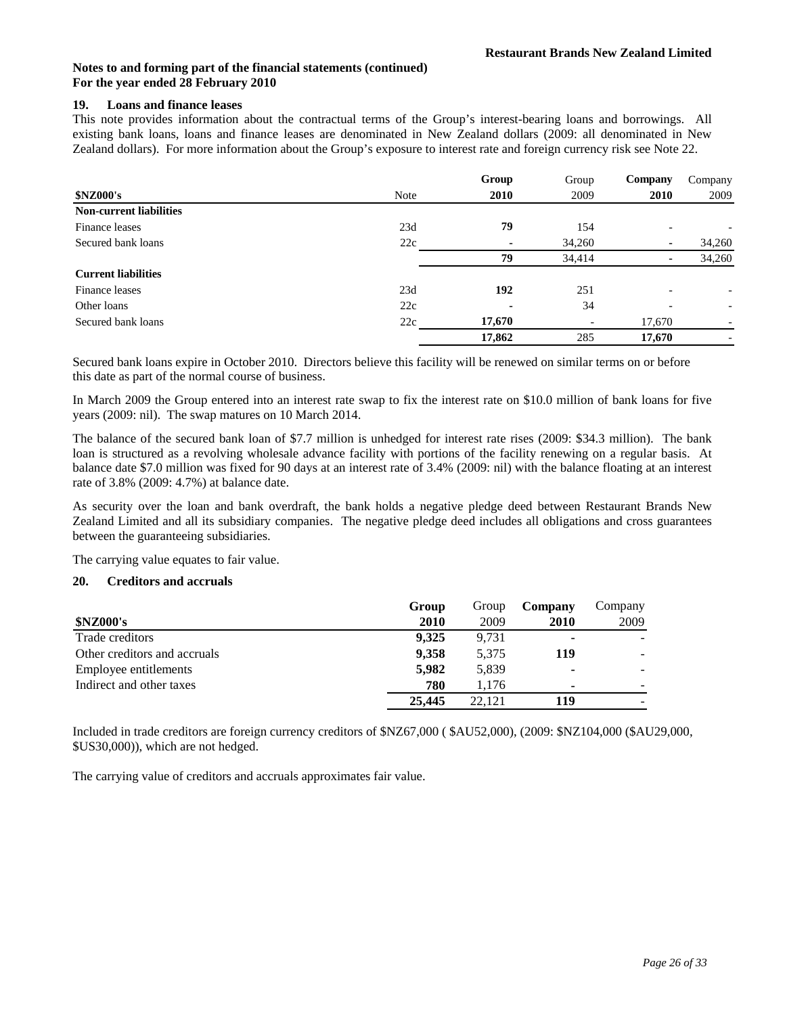### **19. Loans and finance leases**

This note provides information about the contractual terms of the Group's interest-bearing loans and borrowings. All existing bank loans, loans and finance leases are denominated in New Zealand dollars (2009: all denominated in New Zealand dollars). For more information about the Group's exposure to interest rate and foreign currency risk see Note 22.

|                                |             | Group  | Group                    | Company                  | Company                  |
|--------------------------------|-------------|--------|--------------------------|--------------------------|--------------------------|
| <b>\$NZ000's</b>               | <b>Note</b> | 2010   | 2009                     | 2010                     | 2009                     |
| <b>Non-current liabilities</b> |             |        |                          |                          |                          |
| Finance leases                 | 23d         | 79     | 154                      |                          | $\overline{\phantom{a}}$ |
| Secured bank loans             | 22c         | ۰      | 34,260                   | ۰                        | 34,260                   |
|                                |             | 79     | 34,414                   |                          | 34,260                   |
| <b>Current liabilities</b>     |             |        |                          |                          |                          |
| Finance leases                 | 23d         | 192    | 251                      | $\overline{\phantom{a}}$ | $\overline{\phantom{a}}$ |
| Other loans                    | 22c         | -      | 34                       |                          | $\overline{\phantom{0}}$ |
| Secured bank loans             | 22c         | 17,670 | $\overline{\phantom{a}}$ | 17,670                   | $\overline{\phantom{0}}$ |
|                                |             | 17,862 | 285                      | 17,670                   | $\overline{\phantom{0}}$ |

Secured bank loans expire in October 2010. Directors believe this facility will be renewed on similar terms on or before this date as part of the normal course of business.

In March 2009 the Group entered into an interest rate swap to fix the interest rate on \$10.0 million of bank loans for five years (2009: nil). The swap matures on 10 March 2014.

The balance of the secured bank loan of \$7.7 million is unhedged for interest rate rises (2009: \$34.3 million). The bank loan is structured as a revolving wholesale advance facility with portions of the facility renewing on a regular basis. At balance date \$7.0 million was fixed for 90 days at an interest rate of 3.4% (2009: nil) with the balance floating at an interest rate of 3.8% (2009: 4.7%) at balance date.

As security over the loan and bank overdraft, the bank holds a negative pledge deed between Restaurant Brands New Zealand Limited and all its subsidiary companies. The negative pledge deed includes all obligations and cross guarantees between the guaranteeing subsidiaries.

The carrying value equates to fair value.

# **20. Creditors and accruals**

|                              | Group  | Group  | Company                  | Company |
|------------------------------|--------|--------|--------------------------|---------|
| <b>\$NZ000's</b>             | 2010   | 2009   | 2010                     | 2009    |
| Trade creditors              | 9.325  | 9.731  | $\overline{\phantom{a}}$ |         |
| Other creditors and accruals | 9,358  | 5,375  | 119                      |         |
| Employee entitlements        | 5.982  | 5,839  |                          |         |
| Indirect and other taxes     | 780    | 1.176  | $\blacksquare$           |         |
|                              | 25,445 | 22.121 | 119                      |         |

Included in trade creditors are foreign currency creditors of \$NZ67,000 ( \$AU52,000), (2009: \$NZ104,000 (\$AU29,000, \$US30,000)), which are not hedged.

The carrying value of creditors and accruals approximates fair value.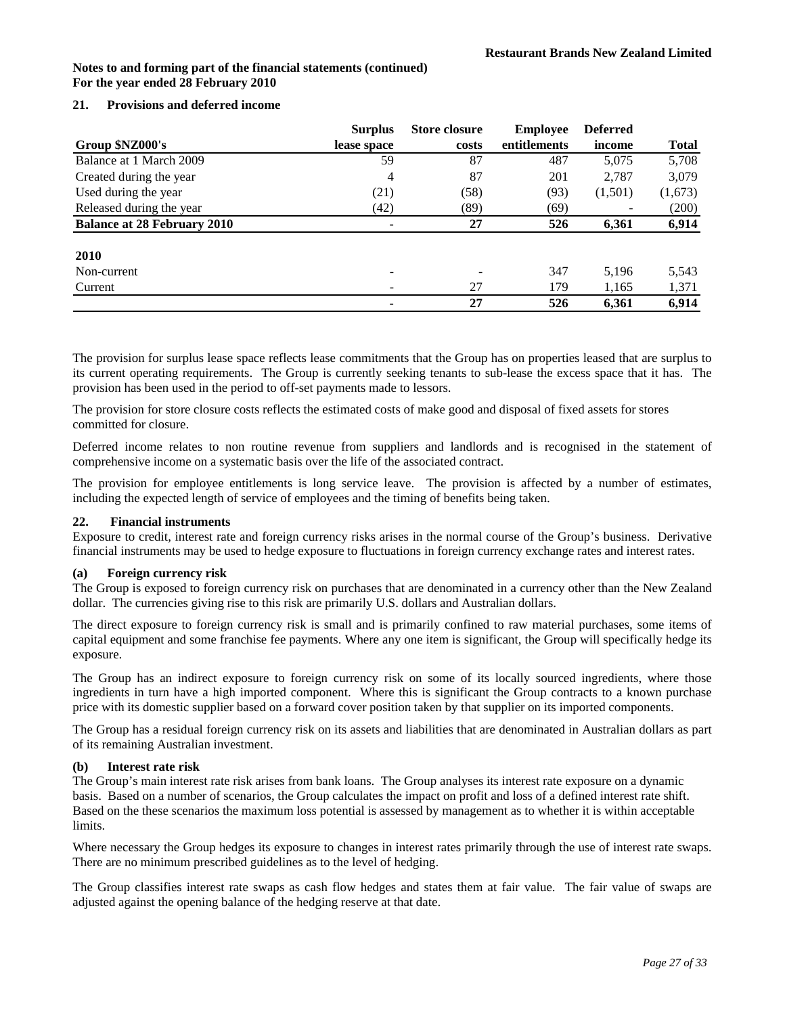# **21. Provisions and deferred income**

|                                    | <b>Surplus</b> | <b>Store closure</b> | <b>Employee</b> | <b>Deferred</b> |              |
|------------------------------------|----------------|----------------------|-----------------|-----------------|--------------|
| Group \$NZ000's                    | lease space    | costs                | entitlements    | income          | <b>Total</b> |
| Balance at 1 March 2009            | 59             | 87                   | 487             | 5,075           | 5,708        |
| Created during the year            | 4              | 87                   | 201             | 2,787           | 3,079        |
| Used during the year               | (21)           | (58)                 | (93)            | (1,501)         | (1,673)      |
| Released during the year           | (42)           | (89)                 | (69)            |                 | (200)        |
| <b>Balance at 28 February 2010</b> |                | 27                   | 526             | 6,361           | 6,914        |
| 2010                               |                |                      |                 |                 |              |
| Non-current                        |                |                      | 347             | 5,196           | 5,543        |
| Current                            |                | 27                   | 179             | 1,165           | 1,371        |
|                                    |                | 27                   | 526             | 6.361           | 6,914        |

The provision for surplus lease space reflects lease commitments that the Group has on properties leased that are surplus to its current operating requirements. The Group is currently seeking tenants to sub-lease the excess space that it has. The provision has been used in the period to off-set payments made to lessors.

The provision for store closure costs reflects the estimated costs of make good and disposal of fixed assets for stores committed for closure.

Deferred income relates to non routine revenue from suppliers and landlords and is recognised in the statement of comprehensive income on a systematic basis over the life of the associated contract.

The provision for employee entitlements is long service leave. The provision is affected by a number of estimates, including the expected length of service of employees and the timing of benefits being taken.

### **22. Financial instruments**

Exposure to credit, interest rate and foreign currency risks arises in the normal course of the Group's business. Derivative financial instruments may be used to hedge exposure to fluctuations in foreign currency exchange rates and interest rates.

### **(a) Foreign currency risk**

The Group is exposed to foreign currency risk on purchases that are denominated in a currency other than the New Zealand dollar. The currencies giving rise to this risk are primarily U.S. dollars and Australian dollars.

The direct exposure to foreign currency risk is small and is primarily confined to raw material purchases, some items of capital equipment and some franchise fee payments. Where any one item is significant, the Group will specifically hedge its exposure.

The Group has an indirect exposure to foreign currency risk on some of its locally sourced ingredients, where those ingredients in turn have a high imported component. Where this is significant the Group contracts to a known purchase price with its domestic supplier based on a forward cover position taken by that supplier on its imported components.

The Group has a residual foreign currency risk on its assets and liabilities that are denominated in Australian dollars as part of its remaining Australian investment.

### **(b) Interest rate risk**

The Group's main interest rate risk arises from bank loans. The Group analyses its interest rate exposure on a dynamic basis. Based on a number of scenarios, the Group calculates the impact on profit and loss of a defined interest rate shift. Based on the these scenarios the maximum loss potential is assessed by management as to whether it is within acceptable limits.

Where necessary the Group hedges its exposure to changes in interest rates primarily through the use of interest rate swaps. There are no minimum prescribed guidelines as to the level of hedging.

The Group classifies interest rate swaps as cash flow hedges and states them at fair value. The fair value of swaps are adjusted against the opening balance of the hedging reserve at that date.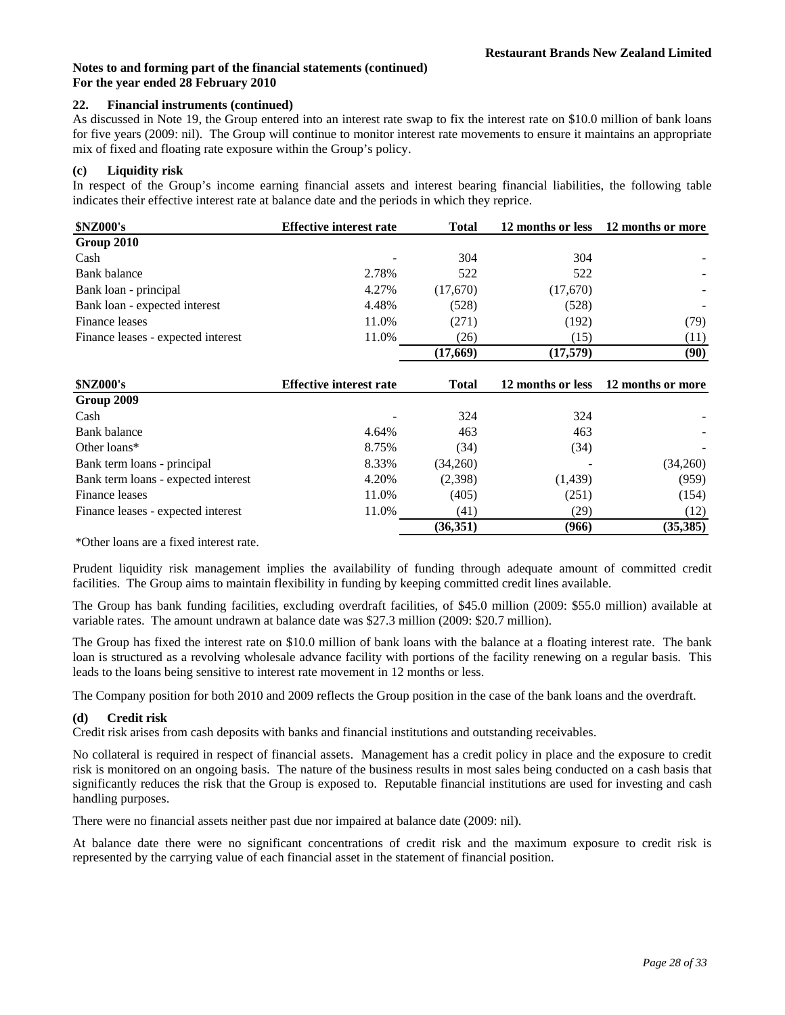### **22. Financial instruments (continued)**

As discussed in Note 19, the Group entered into an interest rate swap to fix the interest rate on \$10.0 million of bank loans for five years (2009: nil). The Group will continue to monitor interest rate movements to ensure it maintains an appropriate mix of fixed and floating rate exposure within the Group's policy.

# **(c) Liquidity risk**

In respect of the Group's income earning financial assets and interest bearing financial liabilities, the following table indicates their effective interest rate at balance date and the periods in which they reprice.

| <b>\$NZ000's</b>                   | <b>Effective interest rate</b> | Total    |           | 12 months or less 12 months or more |
|------------------------------------|--------------------------------|----------|-----------|-------------------------------------|
| Group 2010                         |                                |          |           |                                     |
| Cash                               |                                | 304      | 304       |                                     |
| Bank balance                       | 2.78%                          | 522      | 522       |                                     |
| Bank loan - principal              | 4.27%                          | (17,670) | (17,670)  |                                     |
| Bank loan - expected interest      | 4.48%                          | (528)    | (528)     |                                     |
| Finance leases                     | 11.0%                          | (271)    | (192)     | (79)                                |
| Finance leases - expected interest | 11.0%                          | (26)     | (15)      | (11)                                |
|                                    |                                | (17,669) | (17, 579) | (90)                                |

| <b>\$NZ000's</b>                    | <b>Effective interest rate</b> | <b>Total</b> |         | 12 months or less 12 months or more |
|-------------------------------------|--------------------------------|--------------|---------|-------------------------------------|
| Group 2009                          |                                |              |         |                                     |
| Cash                                |                                | 324          | 324     |                                     |
| Bank balance                        | 4.64%                          | 463          | 463     |                                     |
| Other loans*                        | 8.75%                          | (34)         | (34)    |                                     |
| Bank term loans - principal         | 8.33%                          | (34,260)     |         | (34,260)                            |
| Bank term loans - expected interest | 4.20%                          | (2,398)      | (1,439) | (959)                               |
| Finance leases                      | 11.0%                          | (405)        | (251)   | (154)                               |
| Finance leases - expected interest  | 11.0%                          | (41)         | (29)    | (12)                                |
|                                     |                                | (36,351)     | (966)   | (35, 385)                           |

\*Other loans are a fixed interest rate.

Prudent liquidity risk management implies the availability of funding through adequate amount of committed credit facilities. The Group aims to maintain flexibility in funding by keeping committed credit lines available.

The Group has bank funding facilities, excluding overdraft facilities, of \$45.0 million (2009: \$55.0 million) available at variable rates. The amount undrawn at balance date was \$27.3 million (2009: \$20.7 million).

The Group has fixed the interest rate on \$10.0 million of bank loans with the balance at a floating interest rate. The bank loan is structured as a revolving wholesale advance facility with portions of the facility renewing on a regular basis. This leads to the loans being sensitive to interest rate movement in 12 months or less.

The Company position for both 2010 and 2009 reflects the Group position in the case of the bank loans and the overdraft.

# **(d) Credit risk**

Credit risk arises from cash deposits with banks and financial institutions and outstanding receivables.

No collateral is required in respect of financial assets. Management has a credit policy in place and the exposure to credit risk is monitored on an ongoing basis. The nature of the business results in most sales being conducted on a cash basis that significantly reduces the risk that the Group is exposed to. Reputable financial institutions are used for investing and cash handling purposes.

There were no financial assets neither past due nor impaired at balance date (2009: nil).

At balance date there were no significant concentrations of credit risk and the maximum exposure to credit risk is represented by the carrying value of each financial asset in the statement of financial position.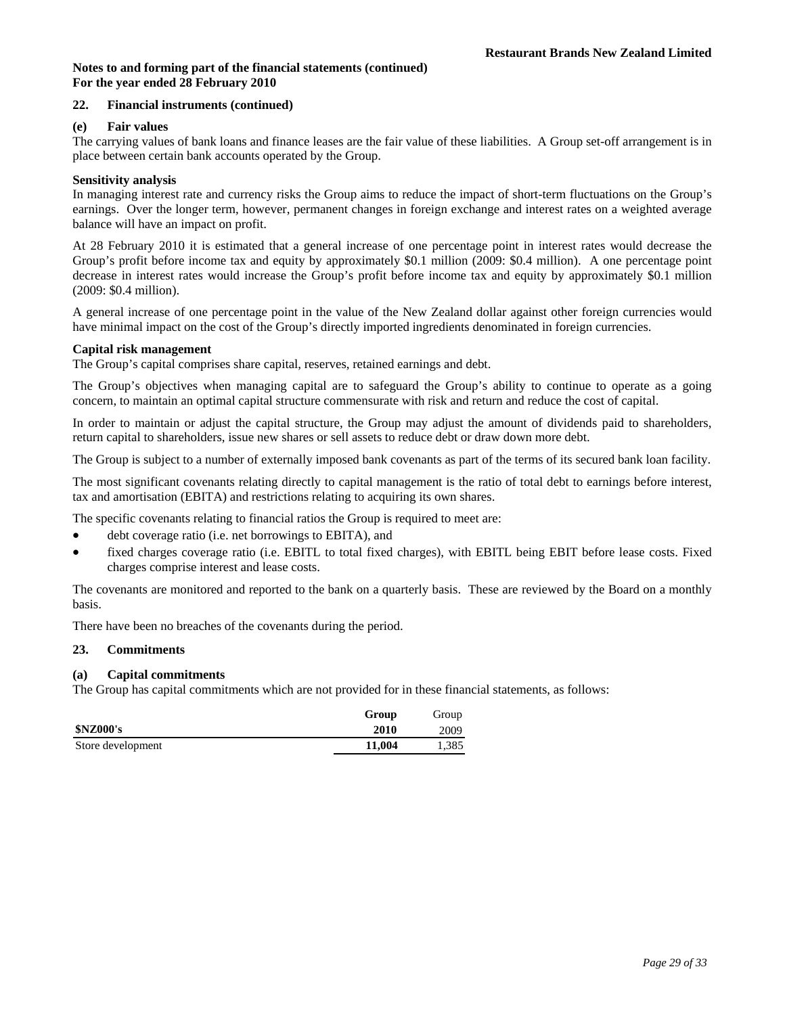# **22. Financial instruments (continued)**

# **(e) Fair values**

The carrying values of bank loans and finance leases are the fair value of these liabilities. A Group set-off arrangement is in place between certain bank accounts operated by the Group.

# **Sensitivity analysis**

In managing interest rate and currency risks the Group aims to reduce the impact of short-term fluctuations on the Group's earnings. Over the longer term, however, permanent changes in foreign exchange and interest rates on a weighted average balance will have an impact on profit.

At 28 February 2010 it is estimated that a general increase of one percentage point in interest rates would decrease the Group's profit before income tax and equity by approximately \$0.1 million (2009: \$0.4 million). A one percentage point decrease in interest rates would increase the Group's profit before income tax and equity by approximately \$0.1 million (2009: \$0.4 million).

A general increase of one percentage point in the value of the New Zealand dollar against other foreign currencies would have minimal impact on the cost of the Group's directly imported ingredients denominated in foreign currencies.

# **Capital risk management**

The Group's capital comprises share capital, reserves, retained earnings and debt.

The Group's objectives when managing capital are to safeguard the Group's ability to continue to operate as a going concern, to maintain an optimal capital structure commensurate with risk and return and reduce the cost of capital.

In order to maintain or adjust the capital structure, the Group may adjust the amount of dividends paid to shareholders, return capital to shareholders, issue new shares or sell assets to reduce debt or draw down more debt.

The Group is subject to a number of externally imposed bank covenants as part of the terms of its secured bank loan facility.

The most significant covenants relating directly to capital management is the ratio of total debt to earnings before interest, tax and amortisation (EBITA) and restrictions relating to acquiring its own shares.

The specific covenants relating to financial ratios the Group is required to meet are:

- debt coverage ratio (i.e. net borrowings to EBITA), and
- fixed charges coverage ratio (i.e. EBITL to total fixed charges), with EBITL being EBIT before lease costs. Fixed charges comprise interest and lease costs.

The covenants are monitored and reported to the bank on a quarterly basis. These are reviewed by the Board on a monthly basis.

There have been no breaches of the covenants during the period.

### **23. Commitments**

### **(a) Capital commitments**

The Group has capital commitments which are not provided for in these financial statements, as follows:

|                   | Group  | Group |
|-------------------|--------|-------|
| <b>\$NZ000's</b>  | 2010   | 2009  |
| Store development | 11.004 | 1.385 |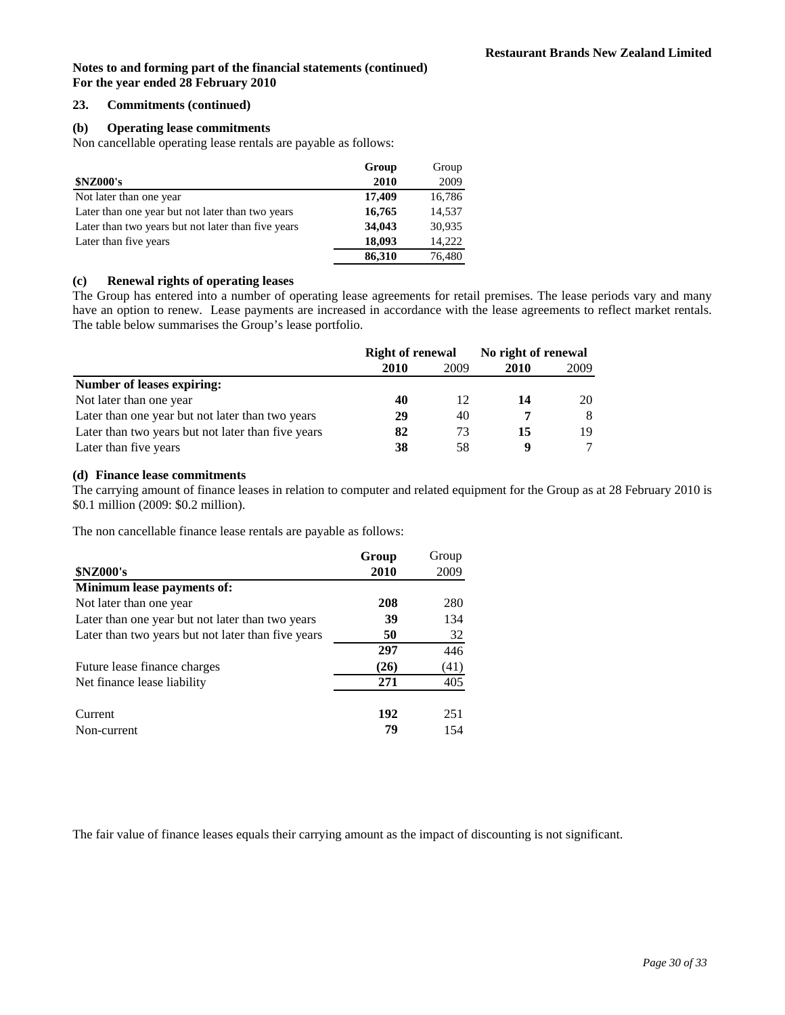### **23. Commitments (continued)**

# **(b) Operating lease commitments**

Non cancellable operating lease rentals are payable as follows:

|                                                    | Group  | Group  |
|----------------------------------------------------|--------|--------|
| <b>\$NZ000's</b>                                   | 2010   | 2009   |
| Not later than one year                            | 17,409 | 16,786 |
| Later than one year but not later than two years   | 16,765 | 14,537 |
| Later than two years but not later than five years | 34,043 | 30,935 |
| Later than five years                              | 18,093 | 14,222 |
|                                                    | 86,310 | 76.480 |

**(c) Renewal rights of operating leases** The Group has entered into a number of operating lease agreements for retail premises. The lease periods vary and many have an option to renew. Lease payments are increased in accordance with the lease agreements to reflect market rentals. The table below summarises the Group's lease portfolio.

|                                                    | <b>Right of renewal</b> |      | No right of renewal |      |
|----------------------------------------------------|-------------------------|------|---------------------|------|
|                                                    | 2010                    | 2009 | 2010                | 2009 |
| Number of leases expiring:                         |                         |      |                     |      |
| Not later than one year                            | 40                      | 12   | 14                  | 20   |
| Later than one year but not later than two years   | 29                      | 40   |                     |      |
| Later than two years but not later than five years | 82                      | 73   | 15                  | 19   |
| Later than five years                              | 38                      | 58   | Q                   |      |

# **(d) Finance lease commitments**

The carrying amount of finance leases in relation to computer and related equipment for the Group as at 28 February 2010 is \$0.1 million (2009: \$0.2 million).

The non cancellable finance lease rentals are payable as follows:

|                                                    | Group | Group |
|----------------------------------------------------|-------|-------|
| <b>\$NZ000's</b>                                   | 2010  | 2009  |
| Minimum lease payments of:                         |       |       |
| Not later than one year                            | 208   | 280   |
| Later than one year but not later than two years   | 39    | 134   |
| Later than two years but not later than five years | 50    | 32    |
|                                                    | 297   | 446   |
| Future lease finance charges                       | (26)  | (41)  |
| Net finance lease liability                        | 271   | 405   |
| Current                                            | 192   | 251   |
| Non-current                                        | 79    | 154   |

The fair value of finance leases equals their carrying amount as the impact of discounting is not significant.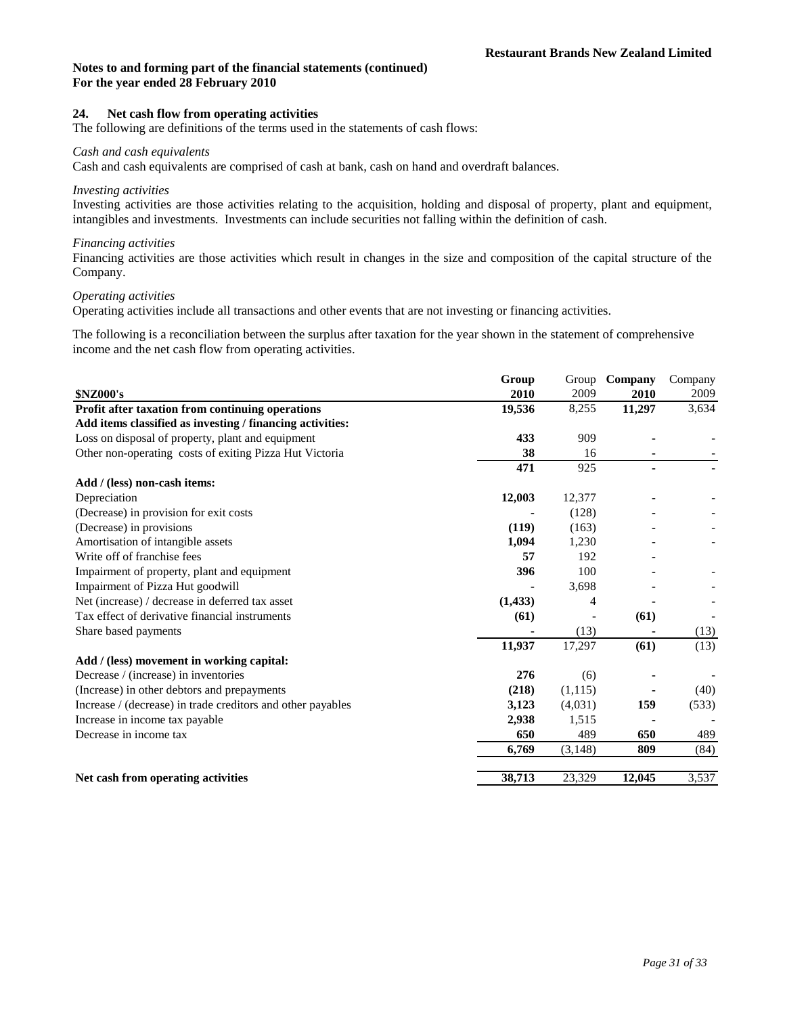# **24. Net cash flow from operating activities**

The following are definitions of the terms used in the statements of cash flows:

### *Cash and cash equivalents*

Cash and cash equivalents are comprised of cash at bank, cash on hand and overdraft balances.

# *Investing activities*

Investing activities are those activities relating to the acquisition, holding and disposal of property, plant and equipment, intangibles and investments. Investments can include securities not falling within the definition of cash.

### *Financing activities*

Financing activities are those activities which result in changes in the size and composition of the capital structure of the Company.

# *Operating activities*

Operating activities include all transactions and other events that are not investing or financing activities.

The following is a reconciliation between the surplus after taxation for the year shown in the statement of comprehensive income and the net cash flow from operating activities.

|                                                             | Group    | Group    | Company | Company |
|-------------------------------------------------------------|----------|----------|---------|---------|
| \$NZ000's                                                   | 2010     | 2009     | 2010    | 2009    |
| Profit after taxation from continuing operations            | 19,536   | 8,255    | 11,297  | 3,634   |
| Add items classified as investing / financing activities:   |          |          |         |         |
| Loss on disposal of property, plant and equipment           | 433      | 909      |         |         |
| Other non-operating costs of exiting Pizza Hut Victoria     | 38       | 16       |         |         |
|                                                             | 471      | 925      |         |         |
| Add / (less) non-cash items:                                |          |          |         |         |
| Depreciation                                                | 12,003   | 12,377   |         |         |
| (Decrease) in provision for exit costs                      |          | (128)    |         |         |
| (Decrease) in provisions                                    | (119)    | (163)    |         |         |
| Amortisation of intangible assets                           | 1,094    | 1,230    |         |         |
| Write off of franchise fees                                 | 57       | 192      |         |         |
| Impairment of property, plant and equipment                 | 396      | 100      |         |         |
| Impairment of Pizza Hut goodwill                            |          | 3,698    |         |         |
| Net (increase) / decrease in deferred tax asset             | (1, 433) | 4        |         |         |
| Tax effect of derivative financial instruments              | (61)     |          | (61)    |         |
| Share based payments                                        |          | (13)     |         | (13)    |
|                                                             | 11,937   | 17,297   | (61)    | (13)    |
| Add / (less) movement in working capital:                   |          |          |         |         |
| Decrease / (increase) in inventories                        | 276      | (6)      |         |         |
| (Increase) in other debtors and prepayments                 | (218)    | (1, 115) |         | (40)    |
| Increase / (decrease) in trade creditors and other payables | 3,123    | (4,031)  | 159     | (533)   |
| Increase in income tax payable                              | 2,938    | 1,515    |         |         |
| Decrease in income tax                                      | 650      | 489      | 650     | 489     |
|                                                             | 6,769    | (3, 148) | 809     | (84)    |
| Net cash from operating activities                          | 38,713   | 23,329   | 12,045  | 3,537   |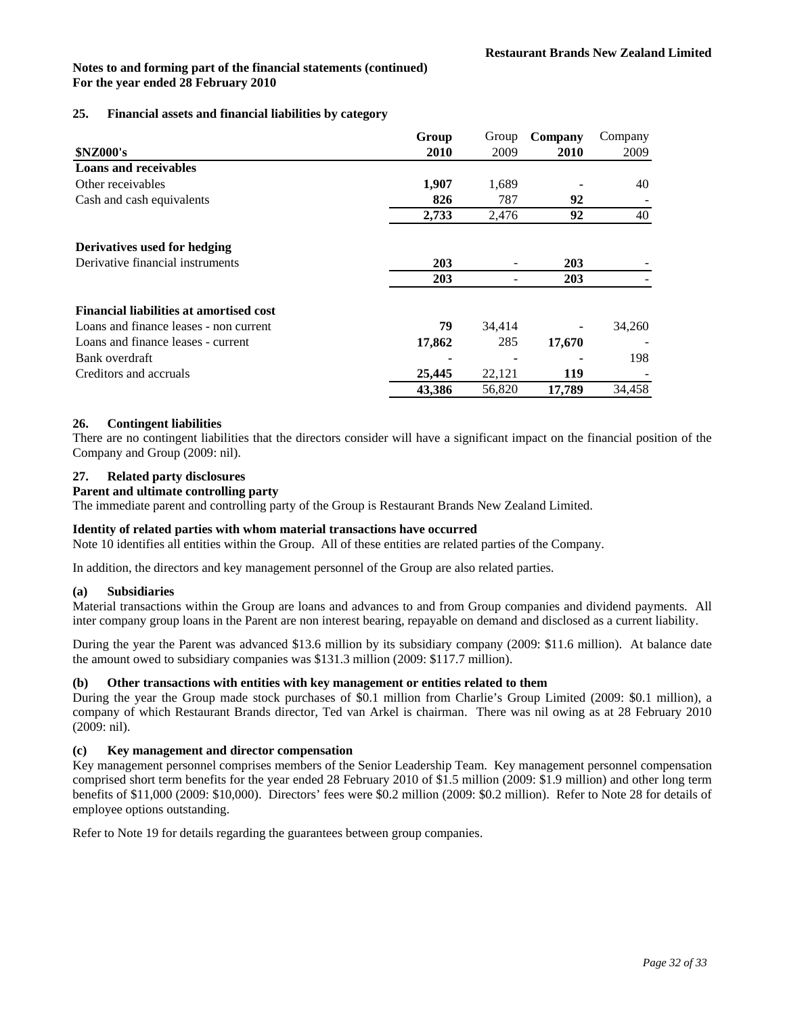# **25. Financial assets and financial liabilities by category**

|                                                | Group  | Group  | Company | Company |
|------------------------------------------------|--------|--------|---------|---------|
| <b>\$NZ000's</b>                               | 2010   | 2009   | 2010    | 2009    |
| <b>Loans and receivables</b>                   |        |        |         |         |
| Other receivables                              | 1,907  | 1,689  |         | 40      |
| Cash and cash equivalents                      | 826    | 787    | 92      |         |
|                                                | 2,733  | 2,476  | 92      | 40      |
| Derivatives used for hedging                   |        |        |         |         |
| Derivative financial instruments               | 203    |        | 203     |         |
|                                                | 203    |        | 203     |         |
| <b>Financial liabilities at amortised cost</b> |        |        |         |         |
| Loans and finance leases - non current         | 79     | 34,414 |         | 34,260  |
| Loans and finance leases - current             | 17,862 | 285    | 17,670  |         |
| Bank overdraft                                 |        |        |         | 198     |
| Creditors and accruals                         | 25,445 | 22,121 | 119     |         |
|                                                | 43,386 | 56,820 | 17,789  | 34,458  |

# **26. Contingent liabilities**

There are no contingent liabilities that the directors consider will have a significant impact on the financial position of the Company and Group (2009: nil).

### **27. Related party disclosures**

### **Parent and ultimate controlling party**

The immediate parent and controlling party of the Group is Restaurant Brands New Zealand Limited.

# **Identity of related parties with whom material transactions have occurred**

Note 10 identifies all entities within the Group. All of these entities are related parties of the Company.

In addition, the directors and key management personnel of the Group are also related parties.

### **(a) Subsidiaries**

Material transactions within the Group are loans and advances to and from Group companies and dividend payments. All inter company group loans in the Parent are non interest bearing, repayable on demand and disclosed as a current liability.

During the year the Parent was advanced \$13.6 million by its subsidiary company (2009: \$11.6 million). At balance date the amount owed to subsidiary companies was \$131.3 million (2009: \$117.7 million).

### **(b) Other transactions with entities with key management or entities related to them**

During the year the Group made stock purchases of \$0.1 million from Charlie's Group Limited (2009: \$0.1 million), a company of which Restaurant Brands director, Ted van Arkel is chairman. There was nil owing as at 28 February 2010 (2009: nil).

### **(c) Key management and director compensation**

Key management personnel comprises members of the Senior Leadership Team. Key management personnel compensation comprised short term benefits for the year ended 28 February 2010 of \$1.5 million (2009: \$1.9 million) and other long term benefits of \$11,000 (2009: \$10,000). Directors' fees were \$0.2 million (2009: \$0.2 million). Refer to Note 28 for details of employee options outstanding.

Refer to Note 19 for details regarding the guarantees between group companies.